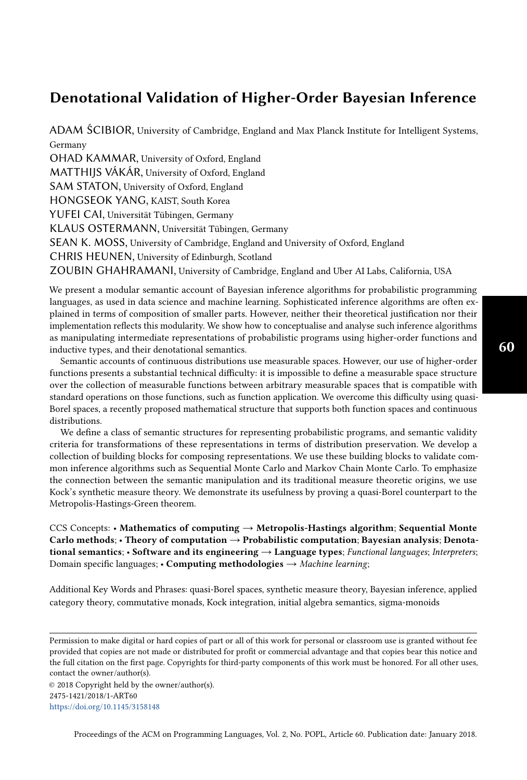ADAM ŚCIBIOR, University of Cambridge, England and Max Planck Institute for Intelligent Systems, Germany OHAD KAMMAR, University of Oxford, England MATTHIJS VÁKÁR, University of Oxford, England SAM STATON, University of Oxford, England HONGSEOK YANG, KAIST, South Korea YUFEI CAI, Universität Tübingen, Germany KLAUS OSTERMANN, Universität Tübingen, Germany SEAN K. MOSS, University of Cambridge, England and University of Oxford, England CHRIS HEUNEN, University of Edinburgh, Scotland ZOUBIN GHAHRAMANI, University of Cambridge, England and Uber AI Labs, California, USA

We present a modular semantic account of Bayesian inference algorithms for probabilistic programming languages, as used in data science and machine learning. Sophisticated inference algorithms are often explained in terms of composition of smaller parts. However, neither their theoretical justification nor their implementation reflects this modularity. We show how to conceptualise and analyse such inference algorithms as manipulating intermediate representations of probabilistic programs using higher-order functions and inductive types, and their denotational semantics.

Semantic accounts of continuous distributions use measurable spaces. However, our use of higher-order functions presents a substantial technical difficulty: it is impossible to define a measurable space structure over the collection of measurable functions between arbitrary measurable spaces that is compatible with standard operations on those functions, such as function application. We overcome this difficulty using quasi-Borel spaces, a recently proposed mathematical structure that supports both function spaces and continuous distributions.

We define a class of semantic structures for representing probabilistic programs, and semantic validity criteria for transformations of these representations in terms of distribution preservation. We develop a collection of building blocks for composing representations. We use these building blocks to validate common inference algorithms such as Sequential Monte Carlo and Markov Chain Monte Carlo. To emphasize the connection between the semantic manipulation and its traditional measure theoretic origins, we use Kock's synthetic measure theory. We demonstrate its usefulness by proving a quasi-Borel counterpart to the Metropolis-Hastings-Green theorem.

CCS Concepts: • Mathematics of computing → Metropolis-Hastings algorithm; Sequential Monte Carlo methods; • Theory of computation  $\rightarrow$  Probabilistic computation; Bayesian analysis; Denotational semantics;  $\cdot$  Software and its engineering  $\rightarrow$  Language types; *Functional languages*; *Interpreters*; Domain specific languages; • Computing methodologies  $\rightarrow$  Machine learning;

Additional Key Words and Phrases: quasi-Borel spaces, synthetic measure theory, Bayesian inference, applied category theory, commutative monads, Kock integration, initial algebra semantics, sigma-monoids

Permission to make digital or hard copies of part or all of this work for personal or classroom use is granted without fee provided that copies are not made or distributed for profit or commercial advantage and that copies bear this notice and the full citation on the first page. Copyrights for third-party components of this work must be honored. For all other uses, contact the owner/author(s).

© 2018 Copyright held by the owner/author(s). 2475-1421/2018/1-ART60 <https://doi.org/10.1145/3158148>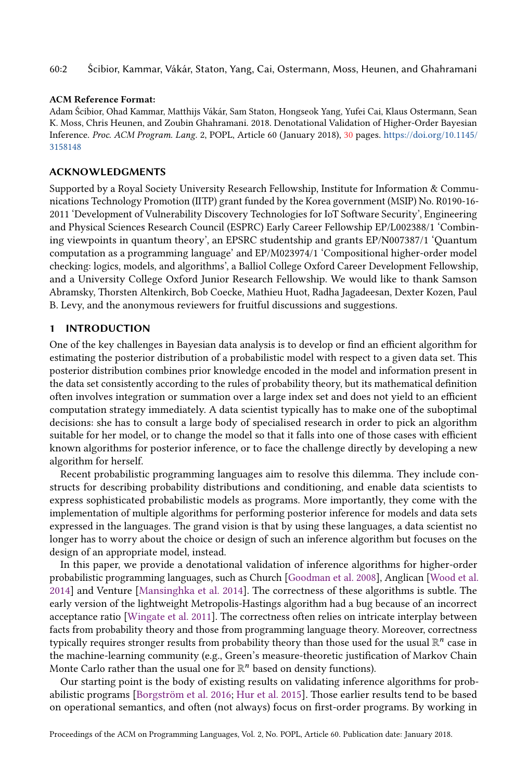60:2 Ścibior, Kammar, Vákár, Staton, Yang, Cai, Ostermann, Moss, Heunen, and Ghahramani

## ACM Reference Format:

Adam Ścibior, Ohad Kammar, Matthijs Vákár, Sam Staton, Hongseok Yang, Yufei Cai, Klaus Ostermann, Sean K. Moss, Chris Heunen, and Zoubin Ghahramani. 2018. Denotational Validation of Higher-Order Bayesian Inference. Proc. ACM Program. Lang. 2, POPL, Article 60 (January 2018), [30](#page-29-0) pages. [https://doi.org/10.1145/](https://doi.org/10.1145/3158148) [3158148](https://doi.org/10.1145/3158148)

# ACKNOWLEDGMENTS

Supported by a Royal Society University Research Fellowship, Institute for Information & Communications Technology Promotion (IITP) grant funded by the Korea government (MSIP) No. R0190-16- 2011 'Development of Vulnerability Discovery Technologies for IoT Software Security', Engineering and Physical Sciences Research Council (ESPRC) Early Career Fellowship EP/L002388/1 'Combining viewpoints in quantum theory', an EPSRC studentship and grants EP/N007387/1 'Quantum computation as a programming language' and EP/M023974/1 'Compositional higher-order model checking: logics, models, and algorithms', a Balliol College Oxford Career Development Fellowship, and a University College Oxford Junior Research Fellowship. We would like to thank Samson Abramsky, Thorsten Altenkirch, Bob Coecke, Mathieu Huot, Radha Jagadeesan, Dexter Kozen, Paul B. Levy, and the anonymous reviewers for fruitful discussions and suggestions.

# 1 INTRODUCTION

One of the key challenges in Bayesian data analysis is to develop or find an efficient algorithm for estimating the posterior distribution of a probabilistic model with respect to a given data set. This posterior distribution combines prior knowledge encoded in the model and information present in the data set consistently according to the rules of probability theory, but its mathematical definition often involves integration or summation over a large index set and does not yield to an efficient computation strategy immediately. A data scientist typically has to make one of the suboptimal decisions: she has to consult a large body of specialised research in order to pick an algorithm suitable for her model, or to change the model so that it falls into one of those cases with efficient known algorithms for posterior inference, or to face the challenge directly by developing a new algorithm for herself.

Recent probabilistic programming languages aim to resolve this dilemma. They include constructs for describing probability distributions and conditioning, and enable data scientists to express sophisticated probabilistic models as programs. More importantly, they come with the implementation of multiple algorithms for performing posterior inference for models and data sets expressed in the languages. The grand vision is that by using these languages, a data scientist no longer has to worry about the choice or design of such an inference algorithm but focuses on the design of an appropriate model, instead.

In this paper, we provide a denotational validation of inference algorithms for higher-order probabilistic programming languages, such as Church [\[Goodman et al.](#page-27-0) [2008\]](#page-27-0), Anglican [\[Wood et al.](#page-28-0) [2014\]](#page-28-0) and Venture [\[Mansinghka et al.](#page-27-1) [2014\]](#page-27-1). The correctness of these algorithms is subtle. The early version of the lightweight Metropolis-Hastings algorithm had a bug because of an incorrect acceptance ratio [\[Wingate et al.](#page-28-1) [2011\]](#page-28-1). The correctness often relies on intricate interplay between facts from probability theory and those from programming language theory. Moreover, correctness typically requires stronger results from probability theory than those used for the usual  $\mathbb{R}^n$  case in the machine-learning community (e.g., Green's measure-theoretic justification of Markov Chain Monte Carlo rather than the usual one for  $\mathbb{R}^n$  based on density functions).

Our starting point is the body of existing results on validating inference algorithms for probabilistic programs [\[Borgström et al.](#page-26-0) [2016;](#page-26-0) [Hur et al.](#page-27-2) [2015\]](#page-27-2). Those earlier results tend to be based on operational semantics, and often (not always) focus on first-order programs. By working in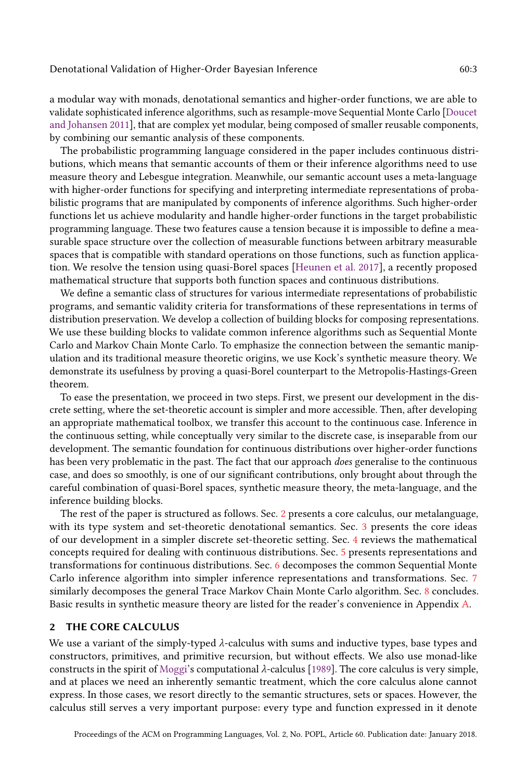a modular way with monads, denotational semantics and higher-order functions, we are able to validate sophisticated inference algorithms, such as resample-move Sequential Monte Carlo [\[Doucet](#page-26-1) [and Johansen](#page-26-1) [2011\]](#page-26-1), that are complex yet modular, being composed of smaller reusable components, by combining our semantic analysis of these components.

The probabilistic programming language considered in the paper includes continuous distributions, which means that semantic accounts of them or their inference algorithms need to use measure theory and Lebesgue integration. Meanwhile, our semantic account uses a meta-language with higher-order functions for specifying and interpreting intermediate representations of probabilistic programs that are manipulated by components of inference algorithms. Such higher-order functions let us achieve modularity and handle higher-order functions in the target probabilistic programming language. These two features cause a tension because it is impossible to define a measurable space structure over the collection of measurable functions between arbitrary measurable spaces that is compatible with standard operations on those functions, such as function application. We resolve the tension using quasi-Borel spaces [\[Heunen et al.](#page-27-3) [2017\]](#page-27-3), a recently proposed mathematical structure that supports both function spaces and continuous distributions.

We define a semantic class of structures for various intermediate representations of probabilistic programs, and semantic validity criteria for transformations of these representations in terms of distribution preservation. We develop a collection of building blocks for composing representations. We use these building blocks to validate common inference algorithms such as Sequential Monte Carlo and Markov Chain Monte Carlo. To emphasize the connection between the semantic manipulation and its traditional measure theoretic origins, we use Kock's synthetic measure theory. We demonstrate its usefulness by proving a quasi-Borel counterpart to the Metropolis-Hastings-Green theorem.

To ease the presentation, we proceed in two steps. First, we present our development in the discrete setting, where the set-theoretic account is simpler and more accessible. Then, after developing an appropriate mathematical toolbox, we transfer this account to the continuous case. Inference in the continuous setting, while conceptually very similar to the discrete case, is inseparable from our development. The semantic foundation for continuous distributions over higher-order functions has been very problematic in the past. The fact that our approach does generalise to the continuous case, and does so smoothly, is one of our significant contributions, only brought about through the careful combination of quasi-Borel spaces, synthetic measure theory, the meta-language, and the inference building blocks.

The rest of the paper is structured as follows. Sec. [2](#page-2-0) presents a core calculus, our metalanguage, with its type system and set-theoretic denotational semantics. Sec. [3](#page-7-0) presents the core ideas of our development in a simpler discrete set-theoretic setting. Sec. [4](#page-12-0) reviews the mathematical concepts required for dealing with continuous distributions. Sec. [5](#page-17-0) presents representations and transformations for continuous distributions. Sec. [6](#page-19-0) decomposes the common Sequential Monte Carlo inference algorithm into simpler inference representations and transformations. Sec. [7](#page-22-0) similarly decomposes the general Trace Markov Chain Monte Carlo algorithm. Sec. [8](#page-25-0) concludes. Basic results in synthetic measure theory are listed for the reader's convenience in Appendix [A.](#page-29-1)

# <span id="page-2-0"></span>2 THE CORE CALCULUS

We use a variant of the simply-typed  $\lambda$ -calculus with sums and inductive types, base types and constructors, primitives, and primitive recursion, but without effects. We also use monad-like constructs in the spirit of [Moggi'](#page-27-4)s computational λ-calculus [\[1989\]](#page-27-4). The core calculus is very simple, and at places we need an inherently semantic treatment, which the core calculus alone cannot express. In those cases, we resort directly to the semantic structures, sets or spaces. However, the calculus still serves a very important purpose: every type and function expressed in it denote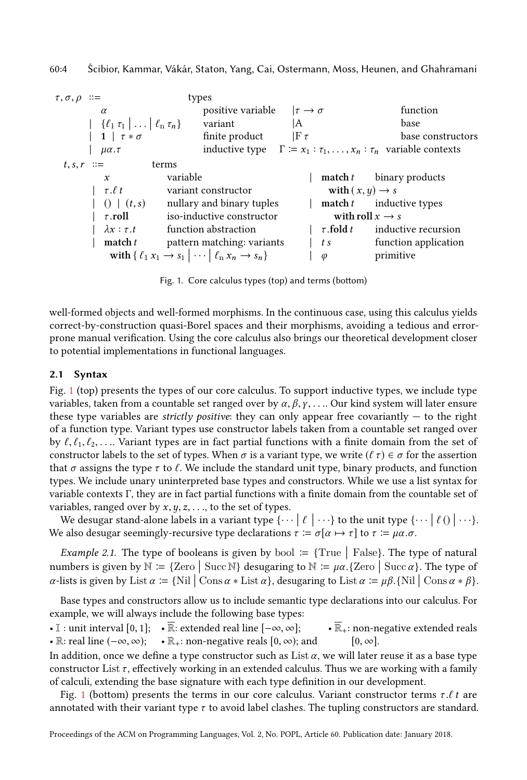| 60:4 |  |  |  | Ścibior, Kammar, Vákár, Staton, Yang, Cai, Ostermann, Moss, Heunen, and Ghahramani |  |  |
|------|--|--|--|------------------------------------------------------------------------------------|--|--|
|------|--|--|--|------------------------------------------------------------------------------------|--|--|

<span id="page-3-0"></span>

| $\tau, \sigma, \rho$ ::= |                                          |          | types                                                                             |    |                             |                                                                                 |
|--------------------------|------------------------------------------|----------|-----------------------------------------------------------------------------------|----|-----------------------------|---------------------------------------------------------------------------------|
|                          | $\alpha$                                 |          | positive variable $ \tau \to \sigma$                                              |    |                             | function                                                                        |
|                          | $ \{\ell_1\tau_1 \ldots \ell_n\tau_n\} $ |          | variant                                                                           | IA |                             | base                                                                            |
|                          | $1 \mid \tau * \sigma$                   |          | finite product $ F \tau $                                                         |    |                             | base constructors                                                               |
|                          | $\mu\alpha.\tau$                         |          |                                                                                   |    |                             | inductive type $\Gamma := x_1 : \tau_1, \ldots, x_n : \tau_n$ variable contexts |
| $t, s, r ::=$            |                                          | terms    |                                                                                   |    |                             |                                                                                 |
|                          | $\mathbf{x}$                             | variable |                                                                                   |    |                             | $\mathbf{match} \cdot t$ binary products                                        |
|                          | $\int \tau \cdot \ell t$                 |          | variant constructor                                                               |    | with $(x, y) \rightarrow s$ |                                                                                 |
|                          |                                          |          | $()   (t, s)$ nullary and binary tuples                                           |    |                             | $\mathbf{match} \cdot t$ inductive types                                        |
|                          | $\tau$ .roll                             |          | iso-inductive constructor                                                         |    |                             | with roll $x \rightarrow s$                                                     |
|                          | $\lambda x : \tau.t$                     |          | function abstraction                                                              |    | $\tau$ .fold t              | inductive recursion                                                             |
|                          | $\mathbf{match} t$                       |          | pattern matching: variants                                                        |    | t s                         | function application                                                            |
|                          |                                          |          | with $\{\ell_1 x_1 \rightarrow s_1 \mid \cdots \mid \ell_n x_n \rightarrow s_n\}$ |    | $\varphi$                   | primitive                                                                       |

Fig. 1. Core calculus types (top) and terms (bottom)

well-formed objects and well-formed morphisms. In the continuous case, using this calculus yields correct-by-construction quasi-Borel spaces and their morphisms, avoiding a tedious and errorprone manual verification. Using the core calculus also brings our theoretical development closer to potential implementations in functional languages.

## 2.1 Syntax

Fig. [1](#page-3-0) (top) presents the types of our core calculus. To support inductive types, we include type variables, taken from a countable set ranged over by  $\alpha, \beta, \gamma, \ldots$  Our kind system will later ensure these type variables are *strictly positive*: they can only appear free covariantly  $-$  to the right of a function type. Variant types use constructor labels taken from a countable set ranged over by  $\ell, \ell_1, \ell_2, \ldots$  Variant types are in fact partial functions with a finite domain from the set of constructor labels to the set of types. When  $\sigma$  is a variant type, we write  $(\ell \tau) \in \sigma$  for the assertion that  $\sigma$  assigns the type  $\tau$  to  $\ell$ . We include the standard unit type, binary products, and function types. We include unary uninterpreted base types and constructors. While we use a list syntax for variable contexts  $\Gamma$ , they are in fact partial functions with a finite domain from the countable set of variables, ranged over by  $x, y, z, \ldots$ , to the set of types.

We desugar stand-alone labels in a variant type  $\{\cdots | \ell \mid \cdots\}$  to the unit type  $\{\cdots | \ell() | \cdots\}$ . We also desugar stand-alone labels in a variant type  $\{\cdots |t| \cdots\}$  to the unit type  $\{\cdots$ <br>We also desugar seemingly-recursive type declarations  $\tau := \sigma[\alpha \mapsto \tau]$  to  $\tau := \mu\alpha.\sigma$ .

<span id="page-3-1"></span>Example 2.1. The type of booleans is given by bool  $:=$  {True | False}. The type of natural numbers is given by  $\mathbb{N} := \{ \text{Zero} \mid \text{SuccN} \}$  desugaring to  $\mathbb{N} := \mu \alpha$ .  $\{ \text{Zero} \mid \text{Succ}\alpha \}$ . The type of α-lists is given by List  $\alpha := \{ Nil \mid Cons \alpha * List \alpha \}$ , desugaring to List  $\alpha := \mu \beta$ .  $\{ Nil \mid Cons \alpha * \beta \}$ .

Base types and constructors allow us to include semantic type declarations into our calculus. For example, we will always include the following base types:

• I : unit interval [0, 1]; •  $\overline{\mathbb{R}}$ : extended real line  $[-\infty, \infty]$ ; •  $\overline{\mathbb{R}}_+$ : non-negative extended reals  $[0, \infty)$ ; and  $[0, \infty]$ . • ℝ: real line  $(-\infty, \infty)$ ; • ℝ<sub>+</sub>: non-negative reals  $[0, \infty)$ ; and  $[0, \infty]$ .<br>In addition, once we define a type constructor such as List α, we will later reuse it as a base type

constructor List  $\tau$ , effectively working in an extended calculus. Thus we are working with a family of calculi, extending the base signature with each type definition in our development.

Fig. [1](#page-3-0) (bottom) presents the terms in our core calculus. Variant constructor terms  $\tau.\ell t$  are annotated with their variant type  $\tau$  to avoid label clashes. The tupling constructors are standard.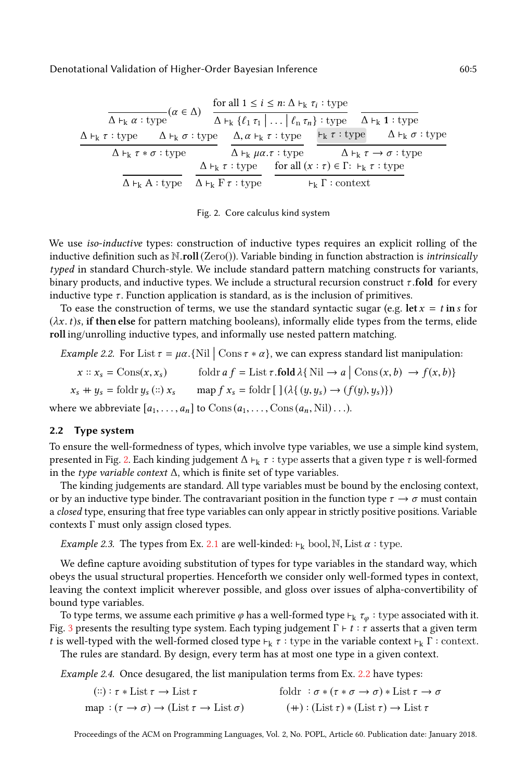<span id="page-4-0"></span>
$$
\frac{\Delta \vdash_k \alpha : \text{type}}{\Delta \vdash_k \tau : \text{type}} (\alpha \in \Delta) \quad \frac{\text{for all } 1 \leq i \leq n: \Delta \vdash_k \tau_i : \text{type}}{\Delta \vdash_k \{\ell_1 \tau_1 \mid \dots \mid \ell_n \tau_n\} : \text{type}} \quad \frac{\Delta \vdash_k \tau : \text{type}}{\Delta \vdash_k \tau : \text{type}} \quad \frac{\Delta \vdash_k \tau : \text{type}}{\Delta \vdash_k \tau : \text{type}} \quad \frac{\vdash_k \tau : \text{type}}{\Delta \vdash_k \tau : \text{type}} \quad \frac{\vdash_k \tau : \text{type}}{\Delta \vdash_k \tau \rightarrow \sigma : \text{type}}}{\Delta \vdash_k \Lambda : \text{type}} \quad \frac{\Delta \vdash_k \tau : \text{type}}{\Delta \vdash_k \Gamma : \text{type}} \quad \frac{\text{for all } (x : \tau) \in \Gamma : \vdash_k \tau : \text{type}}{\vdash_k \Gamma : \text{context}}
$$

Fig. 2. Core calculus kind system

We use *iso-inductive* types: construction of inductive types requires an explicit rolling of the inductive definition such as  $N.$ roll (Zero()). Variable binding in function abstraction is *intrinsically* typed in standard Church-style. We include standard pattern matching constructs for variants, binary products, and inductive types. We include a structural recursion construct  $\tau$ . fold for every inductive type  $\tau$ . Function application is standard, as is the inclusion of primitives.

To ease the construction of terms, we use the standard syntactic sugar (e.g. let  $x = t$  in s for  $(\lambda x. t)$ s, if then else for pattern matching booleans), informally elide types from the terms, elide roll ing/unrolling inductive types, and informally use nested pattern matching.

<span id="page-4-1"></span>*Example 2.2.* For List  $\tau = \mu \alpha$ . {Nil | Cons  $\tau * \alpha$ }, we can express standard list manipulation:

$$
x :: x_s = \text{Cons}(x, x_s) \qquad \text{fold } a \, f = \text{List } \tau \text{.fold } \lambda \{ \text{ Nil} \to a \mid \text{Cons}(x, b) \to f(x, b) \}
$$
\n
$$
x_s + y_s = \text{fold } y_s \, (::) \, x_s \qquad \text{map } f \, x_s = \text{fold } [\ ] (\lambda \{ (y, y_s) \to (f(y), y_s) \} )
$$
\n
$$
x_s = \text{Syl}_s \, (x_s, y_s) \, (x_s, y_s) \, (x_s, y_s) \, (x_s, y_s) \, (x_s, y_s) \, (x_s, y_s) \, (x_s, y_s) \, (x_s, y_s) \, (x_s, y_s) \, (x_s, y_s) \, (x_s, y_s) \, (x_s, y_s) \, (x_s, y_s) \, (x_s, y_s) \, (x_s, y_s) \, (x_s, y_s) \, (x_s, y_s) \, (x_s, y_s) \, (x_s, y_s) \, (x_s, y_s) \, (x_s, y_s) \, (x_s, y_s) \, (x_s, y_s) \, (x_s, y_s) \, (x_s, y_s) \, (x_s, y_s) \, (x_s, y_s) \, (x_s, y_s) \, (x_s, y_s) \, (x_s, y_s) \, (x_s, y_s) \, (x_s, y_s) \, (x_s, y_s) \, (x_s, y_s) \, (x_s, y_s) \, (x_s, y_s) \, (x_s, y_s) \, (x_s, y_s) \, (x_s, y_s) \, (x_s, y_s) \, (x_s, y_s) \, (x_s, y_s) \, (x_s, y_s) \, (x_s, y_s) \, (x_s, y_s) \, (x_s, y_s) \, (x_s, y_s) \, (x_s, y_s) \, (x_s, y_s) \, (x_s, y_s) \, (x_s, y_s) \, (x_s, y_s) \, (x_s, y_s) \, (x_s, y_s) \, (x_s, y_s) \, (x_s, y_s) \, (x_s, y_s) \, (x_s, y_s) \, (x_s, y_s) \, (x_s, y_s) \, (x_s, y_s) \, (x_s, y_s) \, (x_s, y_s) \, (x_s, y_s) \, (x_s, y_s) \, (x_s, y
$$

where we abbreviate  $[a_1, \ldots, a_n]$  to  $\text{Cons}(a_1, \ldots, \text{Cons}(a_n, \text{Nil}) \ldots)$ .

### 2.2 Type system

To ensure the well-formedness of types, which involve type variables, we use a simple kind system, presented in Fig. [2.](#page-4-0) Each kinding judgement  $Δ \nightharpoonup_k τ$ : type asserts that a given type τ is well-formed in the *type variable context*  $\Delta$ , which is finite set of type variables.

The kinding judgements are standard. All type variables must be bound by the enclosing context, or by an inductive type binder. The contravariant position in the function type  $\tau \to \sigma$  must contain a closed type, ensuring that free type variables can only appear in strictly positive positions. Variable contexts Γ must only assign closed types.

*Example 2.3.* The types from Ex. [2.1](#page-3-1) are well-kinded:  $\vdash_k$  bool, N, List  $\alpha$ : type.

We define capture avoiding substitution of types for type variables in the standard way, which obeys the usual structural properties. Henceforth we consider only well-formed types in context, leaving the context implicit wherever possible, and gloss over issues of alpha-convertibility of bound type variables.

To type terms, we assume each primitive  $\varphi$  has a well-formed type  $\vdash_k \tau_\varphi :$  type associated with it. Fig. [3](#page-5-0) presents the resulting type system. Each typing judgement  $\Gamma \vdash t : \tau$  asserts that a given term t is well-typed with the well-formed closed type  $\vdash_k \tau :$  type in the variable context  $\vdash_k \Gamma :$  context.

The rules are standard. By design, every term has at most one type in a given context.

Example 2.4. Once desugared, the list manipulation terms from Ex. [2.2](#page-4-1) have types:

| $(:): \tau * List \tau \rightarrow List \tau$                            | foldr $:\sigma * (\tau * \sigma \to \sigma) * List \tau \to \sigma$ |
|--------------------------------------------------------------------------|---------------------------------------------------------------------|
| map $:(\tau \to \sigma) \to (\text{List } \tau \to \text{List } \sigma)$ | $(+):$ (List $\tau$ ) * (List $\tau$ ) $\rightarrow$ List $\tau$    |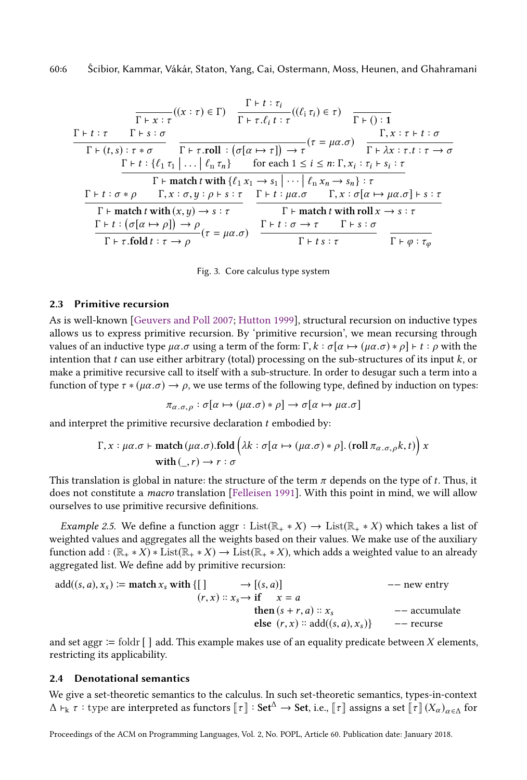## <span id="page-5-0"></span>60:6 Ścibior, Kammar, Vákár, Staton, Yang, Cai, Ostermann, Moss, Heunen, and Ghahramani

$$
\frac{\Gamma + t : \tau \quad \Gamma + s : \sigma}{\Gamma + (t, s) : \tau * \sigma} \frac{\Gamma + t : \tau_i}{\Gamma + \tau \cdot \text{roll} : (\sigma[\alpha \mapsto \tau]) \rightarrow \tau} (\tau = \mu \alpha. \sigma) \frac{\Gamma, x : \tau + t : \sigma}{\Gamma + \lambda x : \tau \cdot t : \tau \rightarrow \sigma}
$$
\n
$$
\frac{\Gamma + t : \{\ell_1 \tau_1 | \ldots | \ell_n \tau_n\} \quad \text{for each } 1 \leq i \leq n : \Gamma, x_i : \tau_i + s_i : \tau \rightarrow \sigma}{\Gamma + \text{match } t \text{ with } \{\ell_1 x_1 \rightarrow s_1 | \cdots | \ell_n x_n \rightarrow s_n\} : \tau}
$$
\n
$$
\frac{\Gamma + t : \sigma * \rho \quad \Gamma, x : \sigma, y : \rho + s : \tau}{\Gamma + \text{match } t \text{ with } (x, y) \rightarrow s : \tau} \frac{\Gamma + t : \mu \alpha. \sigma \quad \Gamma, x : \sigma[\alpha \mapsto \mu \alpha. \sigma] + s : \tau}{\Gamma + \text{match } t \text{ with } (x, y) \rightarrow s : \tau} \frac{\Gamma + t : \mu \alpha. \sigma \quad \Gamma, x : \sigma[\alpha \mapsto \mu \alpha. \sigma] + s : \tau}{\Gamma + \text{match } t \text{ with } \text{roll } x \rightarrow s : \tau}
$$
\n
$$
\frac{\Gamma + t : (\sigma[\alpha \mapsto \rho]) \rightarrow \rho}{\Gamma + \tau \cdot \text{fold } t : \tau \rightarrow \rho} (\tau = \mu \alpha. \sigma) \frac{\Gamma + t : \sigma \rightarrow \tau \quad \Gamma + s : \sigma}{\Gamma + t : \tau \rightarrow \tau} \frac{\Gamma + t : \tau \rightarrow \tau}{\Gamma + \rho : \tau \rightarrow \tau}
$$

Fig. 3. Core calculus type system

## 2.3 Primitive recursion

As is well-known [\[Geuvers and Poll](#page-27-5) [2007;](#page-27-5) [Hutton](#page-27-6) [1999\]](#page-27-6), structural recursion on inductive types allows us to express primitive recursion. By 'primitive recursion', we mean recursing through values of an inductive type  $\mu\alpha.\sigma$  using a term of the form:  $\Gamma, k : \sigma[\alpha \mapsto (\mu\alpha.\sigma) * \rho] \vdash t : \rho$  with the intention that  $t$  can use either arbitrary (total) processing on the sub-structures of its input  $k$ , or make a primitive recursive call to itself with a sub-structure. In order to desugar such a term into a function of type  $\tau * (\mu \alpha. \sigma) \to \rho$ , we use terms of the following type, defined by induction on types:

$$
\pi_{\alpha.\sigma,\rho} : \sigma[\alpha \mapsto (\mu\alpha.\sigma) * \rho] \to \sigma[\alpha \mapsto \mu\alpha.\sigma]
$$

and interpret the primitive recursive declaration  $t$  embodied by:

$$
\Gamma, x : \mu\alpha.\sigma \vdash \text{match}(\mu\alpha.\sigma).\text{fold}\left(\lambda k : \sigma[\alpha \mapsto (\mu\alpha.\sigma) * \rho].(\text{roll}\,\pi_{\alpha.\sigma,\rho}k, t)\right)x
$$
  
with  $(\_, r) \to r : \sigma$ 

This translation is global in nature: the structure of the term  $\pi$  depends on the type of t. Thus, it does not constitute a macro translation [\[Felleisen](#page-26-2) [1991\]](#page-26-2). With this point in mind, we will allow ourselves to use primitive recursive definitions.

<span id="page-5-1"></span>*Example 2.5.* We define a function aggr : List( $\mathbb{R}_+ * X$ )  $\rightarrow$  List( $\mathbb{R}_+ * X$ ) which takes a list of weighted values and aggregates all the weights based on their values. We make use of the auxiliary function add :  $(\mathbb{R}_+ * X) * \text{List}(\mathbb{R}_+ * X) \rightarrow \text{List}(\mathbb{R}_+ * X)$ , which adds a weighted value to an already aggregated list. We define add by primitive recursion:

add((s, a), x<sub>s</sub>) := match x<sub>s</sub> with 
$$
\{[] \rightarrow [(s, a)]
$$
 -- new entry  
\n $(r, x) :: xs \rightarrow \text{if } x = a$   
\nthen  $(s + r, a) :: xs$  -- accumulate  
\nelse  $(r, x) :: add((s, a), xs)\}$  -- recursive

and set aggr := foldr  $\lceil \cdot \rceil$  add. This example makes use of an equality predicate between X elements, restricting its applicability.

## 2.4 Denotational semantics

We give a set-theoretic semantics to the calculus. In such set-theoretic semantics, types-in-context  $\Delta \vdash_k \tau :$  type are interpreted as functors  $[\![\tau]\!] : \mathbf{Set}^{\Delta} \to \mathbf{Set}$ , i.e.,  $[\![\tau]\!]$  assigns a set  $[\![\hat{\tau}]\!] (X_\alpha)_{\alpha \in \Delta}$  for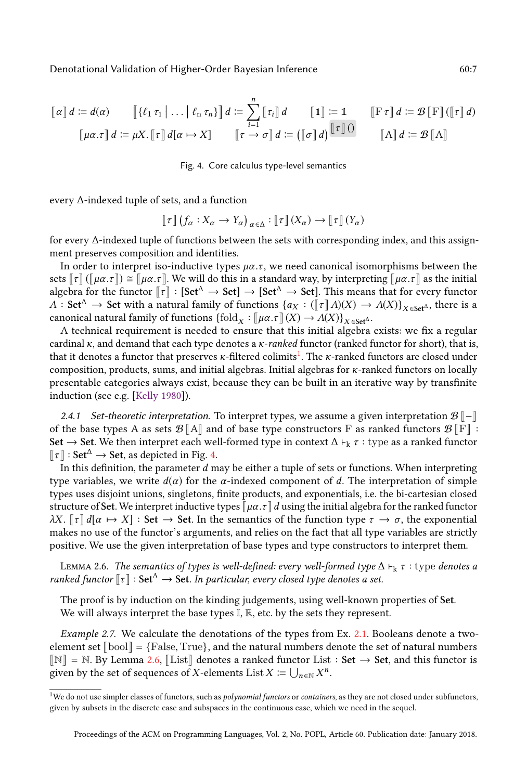<span id="page-6-1"></span>
$$
\llbracket \alpha \rrbracket d := d(\alpha) \qquad \llbracket \{ \ell_1 \tau_1 \mid \dots \mid \ell_n \tau_n \} \rrbracket d := \sum_{i=1}^n \llbracket \tau_i \rrbracket d \qquad \llbracket 1 \rrbracket := \mathbb{1} \qquad \llbracket \mathrm{F} \, \tau \rrbracket d := \mathcal{B} \llbracket \mathrm{F} \rrbracket (\llbracket \tau \rrbracket d)
$$
\n
$$
\llbracket \mu \alpha. \tau \rrbracket d := \mu X. \llbracket \tau \rrbracket d[\alpha \mapsto X] \qquad \llbracket \tau \rightarrow \sigma \rrbracket d := \left( \llbracket \sigma \rrbracket d \right)^{\llbracket \tau \rrbracket (0)} \qquad \llbracket \mathrm{A} \rrbracket d := \mathcal{B} \llbracket \mathrm{A} \rrbracket
$$

Fig. 4. Core calculus type-level semantics

every ∆-indexed tuple of sets, and a function

$$
\llbracket \tau \rrbracket \left( f_{\alpha} : X_{\alpha} \to Y_{\alpha} \right)_{\alpha \in \Delta} : \llbracket \tau \rrbracket (X_{\alpha}) \to \llbracket \tau \rrbracket (Y_{\alpha})
$$

for every ∆-indexed tuple of functions between the sets with corresponding index, and this assignment preserves composition and identities.

In order to interpret iso-inductive types  $\mu\alpha.\tau$ , we need canonical isomorphisms between the sets  $\lceil \tau \rceil$  ( $\lceil \mu \alpha. \tau \rceil$ )  $\cong$   $\lceil \mu \alpha. \tau \rceil$ . We will do this in a standard way, by interpreting  $\lceil \mu \alpha. \tau \rceil$  as the initial algebra for the functor  $\llbracket \tau \rrbracket$  :  $[Set^{\Delta} \rightarrow Set] \rightarrow [Set^{\Delta} \rightarrow Set]$ . This means that for every functor  $A : \mathbf{Set}^{\Delta} \to \mathbf{Set}$  with a natural family of functions  $\{a_X : (\llbracket \tau \rrbracket A)(X) \to A(X)\}_{X \in \mathbf{Set}^{\Delta}}$ , there is a canonical natural family of functions  $\{\text{fold}_X : [\mu \alpha.\tau](X) \to A(X)\}_{X \in \text{Set}^{\Delta}}$ .<br>A technical requirement is needed to ensure that this initial algebra.

A technical requirement is needed to ensure that this initial algebra exists: we fix a regular cardinal  $\kappa$ , and demand that each type denotes a  $\kappa$ -ranked functor (ranked functor for short), that is, that it denotes a functor that preserves  $\kappa$ -filtered colimits<sup>[1](#page-6-0)</sup>. The  $\kappa$ -ranked functors are closed under composition, products, sums, and initial algebras. Initial algebras for  $\kappa$ -ranked functors on locally presentable categories always exist, because they can be built in an iterative way by transfinite induction (see e.g. [\[Kelly](#page-27-7) [1980\]](#page-27-7)).

2.4.1 Set-theoretic interpretation. To interpret types, we assume a given interpretation  $\mathcal{B} \llbracket - \rrbracket$ of the base types A as sets  $\mathcal{B} [\mathbb{A}]$  and of base type constructors F as ranked functors  $\mathcal{B} [\mathbb{F}]$ : Set → Set. We then interpret each well-formed type in context  $\Delta \vdash_k \tau :$  type as a ranked functor  $\lbrack\!\lbrack\tau\rbrack\!\rbrack$  : Set<sup> $\Delta$ </sup>  $\rightarrow$  Set, as depicted in Fig. [4.](#page-6-1)

In this definition, the parameter  $d$  may be either a tuple of sets or functions. When interpreting type variables, we write  $d(\alpha)$  for the  $\alpha$ -indexed component of d. The interpretation of simple types uses disjoint unions, singletons, finite products, and exponentials, i.e. the bi-cartesian closed structure of Set. We interpret inductive types  $\[\mu\alpha.\tau\]$  d using the initial algebra for the ranked functor  $\lambda X$ .  $\lceil \tau \rceil d[\alpha \mapsto X]$  : Set → Set. In the semantics of the function type  $\tau \to \sigma$ , the exponential makes no use of the functor's arguments, and relies on the fact that all type variables are strictly positive. We use the given interpretation of base types and type constructors to interpret them.

<span id="page-6-2"></span>LEMMA 2.6. The semantics of types is well-defined: every well-formed type  $\Delta \vdash_k \tau :$  type denotes a ranked functor  $\lceil \tau \rceil : \mathbf{Set}^{\Delta} \to \mathbf{Set}$ . In particular, every closed type denotes a set.

The proof is by induction on the kinding judgements, using well-known properties of Set. We will always interpret the base types I, R, etc. by the sets they represent.

Example 2.7. We calculate the denotations of the types from Ex. [2.1.](#page-3-1) Booleans denote a twoelement set  $\lceil \text{bool} \rceil = \{\text{False}, \text{True}\},$  and the natural numbers denote the set of natural numbers  $\mathbb{N}$  = N. By Lemma [2.6,](#page-6-2)  $\mathbb{L}$ list $\mathbb{I}$  denotes a ranked functor List : Set  $\rightarrow$  Set, and this functor is given by the set of sequences of X-elements List  $X \coloneqq \bigcup_{n \in \mathbb{N}} X^n$ .

<span id="page-6-0"></span><sup>&</sup>lt;sup>1</sup>We do not use simpler classes of functors, such as *polynomial functors* or *containers*, as they are not closed under subfunctors, given by subsets in the discrete case and subspaces in the continuous case, which we need in the sequel.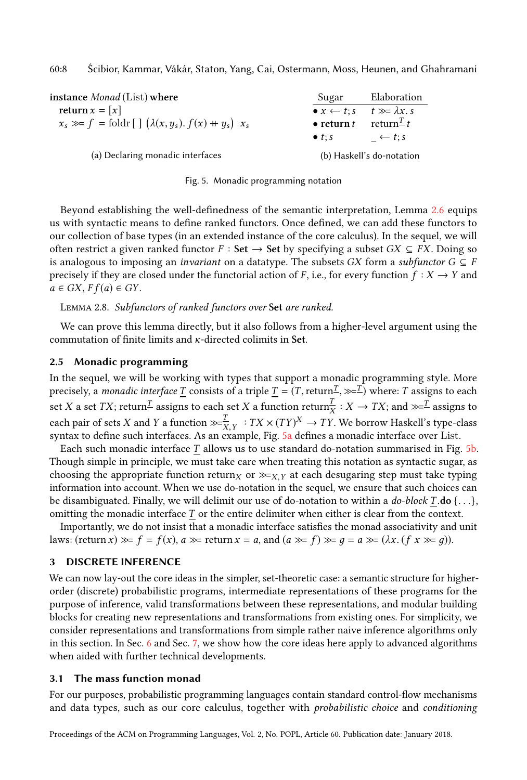<span id="page-7-1"></span>

| instance Monad (List) where                                                      | Sugar                                                  | Elaboration               |  |
|----------------------------------------------------------------------------------|--------------------------------------------------------|---------------------------|--|
| return $x = [x]$                                                                 | $\bullet x \leftarrow t : s \quad t \gg \lambda x . s$ |                           |  |
| $x_s \gg f = \text{foldr} \left[ \int (\lambda(x, y_s), f(x) + y_s) x_s \right]$ | • return t return $\pm t$                              |                           |  |
|                                                                                  | $\bullet$ t: s                                         | $\leftarrow t$ : s        |  |
| (a) Declaring monadic interfaces                                                 |                                                        | (b) Haskell's do-notation |  |

|  | Fig. 5. Monadic programming notation |  |
|--|--------------------------------------|--|
|  |                                      |  |

Beyond establishing the well-definedness of the semantic interpretation, Lemma [2.6](#page-6-2) equips us with syntactic means to define ranked functors. Once defined, we can add these functors to our collection of base types (in an extended instance of the core calculus). In the sequel, we will often restrict a given ranked functor  $F : Set \rightarrow Set$  by specifying a subset  $GX \subseteq FX$ . Doing so is analogous to imposing an *invariant* on a datatype. The subsets GX form a *subfunctor*  $G \subseteq F$ precisely if they are closed under the functorial action of F, i.e., for every function  $f: X \to Y$  and  $a \in GX$ ,  $F f(a) \in GY$ .

Lemma 2.8. Subfunctors of ranked functors over Set are ranked.

We can prove this lemma directly, but it also follows from a higher-level argument using the commutation of finite limits and  $\kappa$ -directed colimits in Set.

# <span id="page-7-2"></span>2.5 Monadic programming

In the sequel, we will be working with types that support a monadic programming style. More precisely, a *monadic interface*  $\underline{T}$  consists of a triple  $\underline{T} = (T, \text{return}^{\text{T}}, \gg = \overline{T})$  where: T assigns to each set X a set TX; return<sup>T</sup> assigns to each set X a function return $\frac{T}{X}: X \to TX$ ; and  $\gg = \frac{T}{X}$  assigns to each pair of sets X and Y a function  $\gg \frac{T}{X,Y} : TX \times (TY)^X \to TY$ . We borrow Haskell's type-class syntax to define such interfaces. As an example, Fig.  $5a$  defines a monadic interface over List.

Each such monadic interface  $T$  allows us to use standard do-notation summarised in Fig.  $5b$ . Though simple in principle, we must take care when treating this notation as syntactic sugar, as choosing the appropriate function return $_X$  or  $\gg_{X,Y}$  at each desugaring step must take typing<br>information into account When we use do notation in the second we ensure that such choices can information into account. When we use do-notation in the sequel, we ensure that such choices can be disambiguated. Finally, we will delimit our use of do-notation to within a *do-block* T.do  $\{\ldots\}$ , omitting the monadic interface  $T$  or the entire delimiter when either is clear from the context.

Importantly, we do not insist that a monadic interface satisfies the monad associativity and unit laws: (return x)  $\gg$  =  $f = f(x)$ ,  $a \gg$  return  $x = a$ , and  $(a \gg f) \gg g = a \gg ( \lambda x \cdot (f x \gg g))$ .

## <span id="page-7-0"></span>3 DISCRETE INFERENCE

We can now lay-out the core ideas in the simpler, set-theoretic case: a semantic structure for higherorder (discrete) probabilistic programs, intermediate representations of these programs for the purpose of inference, valid transformations between these representations, and modular building blocks for creating new representations and transformations from existing ones. For simplicity, we consider representations and transformations from simple rather naive inference algorithms only in this section. In Sec. [6](#page-19-0) and Sec. [7,](#page-22-0) we show how the core ideas here apply to advanced algorithms when aided with further technical developments.

## 3.1 The mass function monad

For our purposes, probabilistic programming languages contain standard control-flow mechanisms and data types, such as our core calculus, together with probabilistic choice and conditioning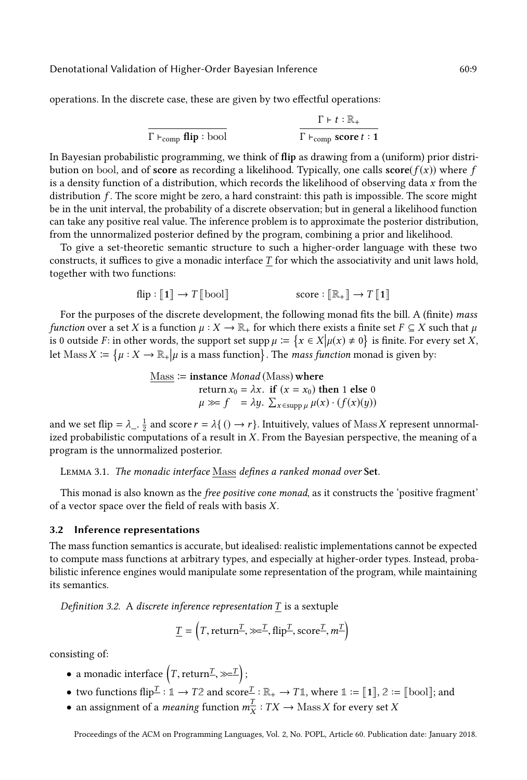operations. In the discrete case, these are given by two effectful operations:

$$
\frac{\Gamma \vdash t : \mathbb{R}_{+}}{\Gamma \vdash_{\text{comp}} \text{store } t : 1}
$$

In Bayesian probabilistic programming, we think of flip as drawing from a (uniform) prior distribution on bool, and of score as recording a likelihood. Typically, one calls score( $f(x)$ ) where f is a density function of a distribution, which records the likelihood of observing data  $x$  from the distribution  $f$ . The score might be zero, a hard constraint: this path is impossible. The score might be in the unit interval, the probability of a discrete observation; but in general a likelihood function can take any positive real value. The inference problem is to approximate the posterior distribution, from the unnormalized posterior defined by the program, combining a prior and likelihood.

To give a set-theoretic semantic structure to such a higher-order language with these two constructs, it suffices to give a monadic interface  $T$  for which the associativity and unit laws hold, together with two functions:

$$
flip : [\![\mathbf{1}]\!] \to T [\![bool]\!]
$$
 score : 
$$
[\![\mathbb{R}_+]\!] \to T [\![\mathbf{1}]\!]
$$

For the purposes of the discrete development, the following monad fits the bill. A (finite) mass *function* over a set X is a function  $\mu : X \to \mathbb{R}_+$  for which there exists a finite set  $F \subseteq X$  such that  $\mu$ is 0 outside F: in other words, the support set supp  $\mu := \{x \in X | \mu(x) \neq 0\}$  is finite. For every set X, let Mass  $X \coloneqq \{ \mu : X \to \mathbb{R}_+ \big| \mu \text{ is a mass function} \}.$  The *mass function* monad is given by:

Mass := instance *Monad* (Mass) where  
return *x*<sub>0</sub> = λ*x*. if (*x* = *x*<sub>0</sub>) then 1 else 0  

$$
μ \gg f = λy
$$
.  $\sum_{x \in \text{supp} μ} μ(x) \cdot (f(x)(y))$ 

and we set flip =  $\lambda_{-}$ .  $\frac{1}{2}$  and score  $r = \lambda \{ () \rightarrow r \}$ . Intuitively, values of Mass X represent unnormal-<br>ized probabilistic computations of a result in X. From the Bayesian perspective, the meaning of a ized probabilistic computations of a result in X. From the Bayesian perspective, the meaning of a program is the unnormalized posterior.

LEMMA 3.1. The monadic interface Mass defines a ranked monad over Set.

This monad is also known as the *free positive cone monad*, as it constructs the 'positive fragment' of a vector space over the field of reals with basis  $X$ .

#### 3.2 Inference representations

The mass function semantics is accurate, but idealised: realistic implementations cannot be expected to compute mass functions at arbitrary types, and especially at higher-order types. Instead, probabilistic inference engines would manipulate some representation of the program, while maintaining its semantics.

<span id="page-8-0"></span>Definition 3.2. A discrete inference representation  $T$  is a sextuple

$$
\underline{T} = \left(T, \text{return}^{\underline{T}}, \gg = \underline{T}, \text{flip}^{\underline{T}}, \text{score}^{\underline{T}}, m^{\underline{T}}\right)
$$

consisting of:

- a monadic interface  $(T,\text{return}^{\mathcal{I}}, \gg = \mathcal{I})$ ;
- two functions flip<sup> $T$ </sup>:  $1 \rightarrow T2$  and score<sup> $T$ </sup>:  $\mathbb{R}_+ \rightarrow T1$ , where  $1 := [1]$ ,  $2 := [bool]$ ; and
- an assignment of a *meaning* function  $m_X^T : TX \to {\rm Mass} X$  for every set X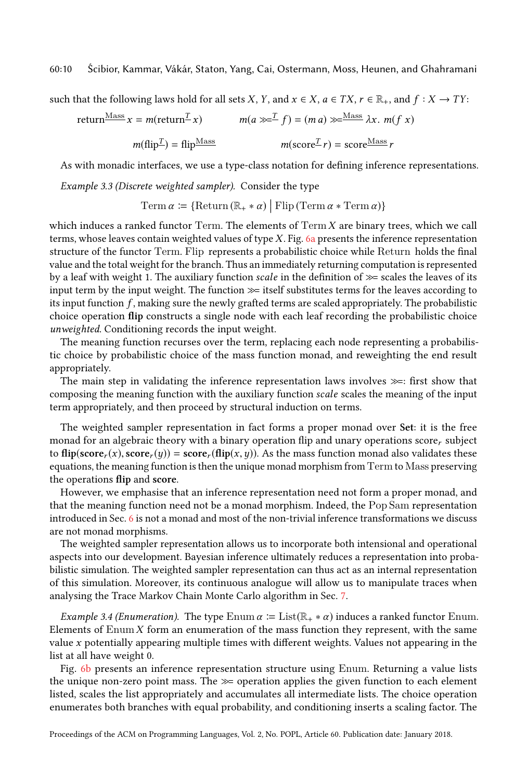## 60:10 Ścibior, Kammar, Vákár, Staton, Yang, Cai, Ostermann, Moss, Heunen, and Ghahramani

such that the following laws hold for all sets X, Y, and  $x \in X$ ,  $a \in TX$ ,  $r \in \mathbb{R}_+$ , and  $f : X \to TY$ :

$$
\text{return} \frac{\text{Mass}}{x} = m(\text{return} \frac{x}{x}) \qquad m(a \gg \frac{1}{2} f) = (m \, a) \gg \frac{\text{Mass}}{x} \, \lambda x. \, m(f \, x)
$$
\n
$$
m(\text{flip} \frac{x}{x}) = \text{flip} \frac{\text{Mass}}{x} \qquad m(\text{score} \frac{x}{x}) = \text{score} \frac{\text{Mass}}{x} \, r
$$

As with monadic interfaces, we use a type-class notation for defining inference representations.

<span id="page-9-0"></span>Example 3.3 (Discrete weighted sampler). Consider the type

Term  $\alpha \coloneqq {\text{Return}(\mathbb{R}_+ * \alpha) \mid \text{Flip}(\text{Term} \alpha * \text{Term} \alpha)}$ 

which induces a ranked functor Term. The elements of  $Term X$  are binary trees, which we call terms, whose leaves contain weighted values of type X. Fig. [6a](#page-10-0) presents the inference representation structure of the functor Term. Flip represents a probabilistic choice while Return holds the final value and the total weight for the branch. Thus an immediately returning computation is represented by a leaf with weight 1. The auxiliary function scale in the definition of  $\gg$ = scales the leaves of its input term by the input weight. The function  $\gg$ = itself substitutes terms for the leaves according to its input function  $f$ , making sure the newly grafted terms are scaled appropriately. The probabilistic choice operation flip constructs a single node with each leaf recording the probabilistic choice unweighted. Conditioning records the input weight.

The meaning function recurses over the term, replacing each node representing a probabilistic choice by probabilistic choice of the mass function monad, and reweighting the end result appropriately.

The main step in validating the inference representation laws involves  $\gg$ =: first show that composing the meaning function with the auxiliary function scale scales the meaning of the input term appropriately, and then proceed by structural induction on terms.

The weighted sampler representation in fact forms a proper monad over Set: it is the free monad for an algebraic theory with a binary operation flip and unary operations score, subject<br>to flip(eeene (x) eeene (x)) = score (flip(x, x)). As the mess function moned else volidates these to  $\text{flip}(\text{score}_r(x), \text{score}_r(y)) = \text{score}_r(\text{flip}(x, y))$ . As the mass function monad also validates these equations, the meaning function is then the unique monad morphism from Term to Mass preserving the operations flip and score.

However, we emphasise that an inference representation need not form a proper monad, and that the meaning function need not be a monad morphism. Indeed, the Pop Sam representation introduced in Sec. [6](#page-19-0) is not a monad and most of the non-trivial inference transformations we discuss are not monad morphisms.

The weighted sampler representation allows us to incorporate both intensional and operational aspects into our development. Bayesian inference ultimately reduces a representation into probabilistic simulation. The weighted sampler representation can thus act as an internal representation of this simulation. Moreover, its continuous analogue will allow us to manipulate traces when analysing the Trace Markov Chain Monte Carlo algorithm in Sec. [7.](#page-22-0)

*Example 3.4 (Enumeration).* The type  $\text{Enum } \alpha := \text{List}(\mathbb{R}_+ * \alpha)$  induces a ranked functor Enum. Elements of  $\text{Enum } X$  form an enumeration of the mass function they represent, with the same value  $x$  potentially appearing multiple times with different weights. Values not appearing in the list at all have weight 0.

Fig. [6b](#page-10-0) presents an inference representation structure using Enum. Returning a value lists the unique non-zero point mass. The  $\gg$  operation applies the given function to each element listed, scales the list appropriately and accumulates all intermediate lists. The choice operation enumerates both branches with equal probability, and conditioning inserts a scaling factor. The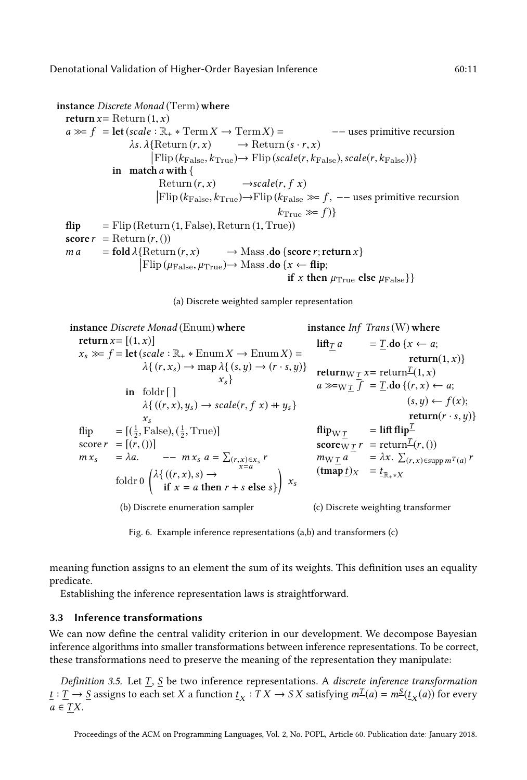<span id="page-10-0"></span>instance Discrete Monad (Term) where return  $x=$  Return  $(1, x)$  $a \gg f = \text{let}(scale : \mathbb{R}_+ * Term X \rightarrow Term X) =$  --uses primitive recursion  $\lambda$ s.  $\lambda$ {Return  $(r, x) \rightarrow$ Return  $(s \cdot r, x)$  $\text{Flip}(k_{\text{False}}, k_{\text{True}}) \rightarrow \text{Flip}(scale(r, k_{\text{False}}), scale(r, k_{\text{False}}))\}$ in match  $a$  with  $\{$ Return  $(r, x) \rightarrow scale(r, f x)$  $\text{Flip}(k_{\text{False}}, k_{\text{True}}) \rightarrow \text{Flip}(k_{\text{False}} \gg f, --$  uses primitive recursion  $k_{\text{True}} \gg f$ }  $flip = \text{Flip} (\text{Return} (1, \text{False}), \text{Return} (1, \text{True}))$ score  $r = \text{Return}(r, ())$ <br>  $ma = \text{fold} \lambda \{\text{Return}(r, ())\}$  $=$  fold  $\lambda$ {Return  $(r, x) \rightarrow$  Mass.do {score r; return x} Flip ( $\mu_{\text{False}}, \mu_{\text{True}}$ )  $\rightarrow$  Mass .do { $x \leftarrow$  flip; if x then  $\mu_{\text{True}}$  else  $\mu_{\text{False}}$ }

(a) Discrete weighted sampler representation

instance Discrete Monad (Enum) where return  $x = [(1, x)]$  $x_s \gg f = \text{let}(scale : \mathbb{R}_+ * Enum X \rightarrow Enum X) =$ scale :  $\mathbb{R}_+ * \text{Enum } X \to \text{Enum } X$ ) = <br>  $\lambda \{ (r, x_s) \to \text{map } \lambda \{ (s, y) \to (r \cdot s, y) \}$  return  $\forall y \in X$  = return  $T(1, x)$  $x_s$ } in foldr[ ]  $\lambda\{((r, x), y_s) \rightarrow scale(r, f x) + y_s\}$  $\lim_{x \to 0} f(x) = [(\frac{1}{2}, \text{False}), (\frac{1}{2}, \text{True})]$ score  $r = [(r, ())]$ <br> $mx = \lambda a$  $mx_s$  =  $\lambda a$ .  $\qquad -m x_s a = \sum_{\substack{(r,x)\in x_s\\x=a}}$ r foldr 0  $\begin{cases} \lambda \{ ((r, x), s) \rightarrow \\ \text{if } x = a \text{ then } r + s \text{ else } s \} \end{cases}$  $\Big) x_s$ (b) Discrete enumeration sampler instance Inf Trans (W) where  $\lim_{x \to a} a$  =  $\underline{T}$ .do { $x \leftarrow a$ ;<br>return(1, x)} return $W \underline{T} x = \text{return} \frac{T(1, x)}{T}$  $a \gg \equiv_{\text{W}T} f = \overline{T}$ .do  $\{(r, x) \leftarrow a;$  $(s, y) \leftarrow f(x)$ ; return( $r \cdot s, y$ )}  $\operatorname{flip}_{\mathrm{W}\, \underline{T}}$  = lift  $\operatorname{flip}^{\underline{T}}$  $\text{score}_{\text{W}\text{T}} r = \text{return} \frac{T(r, 0)}{r}$  $m_{\text{W}} \underline{\tau} a = \lambda x. \sum_{(r,x) \in \text{supp } m} \eta(r,a) r$  $(\text{tmap } t)_X = t_{\mathbb{R}_{+} * X}$ (c) Discrete weighting transformer

Fig. 6. Example inference representations (a,b) and transformers (c)

meaning function assigns to an element the sum of its weights. This definition uses an equality predicate.

Establishing the inference representation laws is straightforward.

## 3.3 Inference transformations

We can now define the central validity criterion in our development. We decompose Bayesian inference algorithms into smaller transformations between inference representations. To be correct, these transformations need to preserve the meaning of the representation they manipulate:

<span id="page-10-1"></span>Definition 3.5. Let  $T$ ,  $S$  be two inference representations. A discrete inference transformation  $t: \underline{T} \to \underline{S}$  assigns to each set X a function  $t_X : T X \to SX$  satisfying  $m^{\underline{T}}(a) = m^{\underline{S}}(t_X(a))$  for every  $a \in TX$ .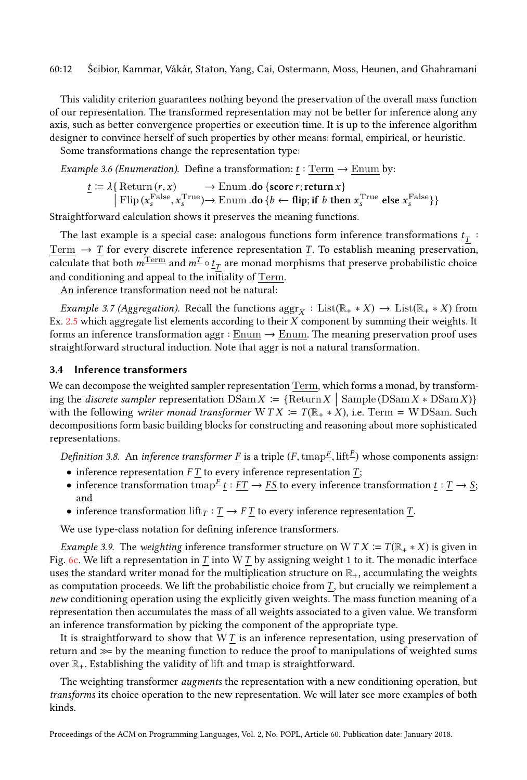60:12 Ścibior, Kammar, Vákár, Staton, Yang, Cai, Ostermann, Moss, Heunen, and Ghahramani

This validity criterion guarantees nothing beyond the preservation of the overall mass function of our representation. The transformed representation may not be better for inference along any axis, such as better convergence properties or execution time. It is up to the inference algorithm designer to convince herself of such properties by other means: formal, empirical, or heuristic.

Some transformations change the representation type:

Example 3.6 (Enumeration). Define a transformation:  $t: \mathrm{Term} \rightarrow \mathrm{Enum}$  by:

$$
\underline{t} := \lambda \{ \text{Return}(r, x) \rightarrow \text{Enum}.\text{do} \{ \text{score } r; \text{return } x \}
$$
\n
$$
| \text{Flip}(x_s^{\text{False}}, x_s^{\text{True}}) \rightarrow \text{Enum}.\text{do} \{ b \leftarrow \text{flip}; \text{if } b \text{ then } x_s^{\text{True}} \text{ else } x_s^{\text{False}} \}
$$
\n
$$
\text{Straightforward calculation shows it preserves the meaning functions.}
$$

The last example is a special case: analogous functions form inference transformations  $t<sub>T</sub>$ :  $Term  $\rightarrow$  T$  for every discrete inference representation  $T$ . To establish meaning preservation,</u></u> calculate that both  $m^{\overline{\text{Term}}}$  and  $m^{\overline{L}}\circ \underline{t}_T$  are monad morphisms that preserve probabilistic choice and conditioning and appeal to the initiality of Term.

An inference transformation need not be natural:

Example 3.7 (Aggregation). Recall the functions  $\text{aggr}_X: \text{List}(\mathbb{R}_+ * X) \to \text{List}(\mathbb{R}_+ * X)$  from Ex. [2.5](#page-5-1) which aggregate list elements according to their  $X$  component by summing their weights. It forms an inference transformation aggr :  $\text{Enum} \rightarrow \text{Enum}$ . The meaning preservation proof uses straightforward structural induction. Note that aggr is not a natural transformation.

## 3.4 Inference transformers

We can decompose the weighted sampler representation Term, which forms a monad, by transforming the *discrete sampler* representation  $D\text{Sam } X := \{\text{Return } X \mid \text{Sample}(D\text{Sam } X * D\text{Sam } X)\}$ with the following *writer monad transformer* W  $TX \coloneqq T (\mathbb{R}_+ * X)$ , i.e. Term = W DSam. Such decompositions form basic building blocks for constructing and reasoning about more sophisticated representations.

*Definition 3.8.* An *inference transformer*  $\underline{F}$  is a triple  $(F, \text{tmap}^{\underline{F}}, \text{lift}^{\underline{F}})$  whose components assign:

- inference representation  $FT$  to every inference representation  $T$ ;
- inference transformation  $\text{tmap}_t^E : \underline{FT} \to \underline{FS}$  to every inference transformation  $\underline{t} : \underline{T} \to \underline{S}$ ; and
- inference transformation lift<sub>T</sub> :  $\underline{T} \rightarrow F\underline{T}$  to every inference representation  $\underline{T}$ .

We use type-class notation for defining inference transformers.

<span id="page-11-0"></span>*Example 3.9.* The *weighting* inference transformer structure on W  $TX \coloneqq T(\mathbb{R}_+ * X)$  is given in Fig. [6c.](#page-10-0) We lift a representation in T into W T by assigning weight 1 to it. The monadic interface uses the standard writer monad for the multiplication structure on  $\mathbb{R}_+$ , accumulating the weights as computation proceeds. We lift the probabilistic choice from  $T$ , but crucially we reimplement a new conditioning operation using the explicitly given weights. The mass function meaning of a representation then accumulates the mass of all weights associated to a given value. We transform an inference transformation by picking the component of the appropriate type.

It is straightforward to show that  $WT$  is an inference representation, using preservation of return and  $\gg$  by the meaning function to reduce the proof to manipulations of weighted sums over  $\mathbb{R}_+$ . Establishing the validity of lift and tmap is straightforward.

The weighting transformer *augments* the representation with a new conditioning operation, but transforms its choice operation to the new representation. We will later see more examples of both kinds.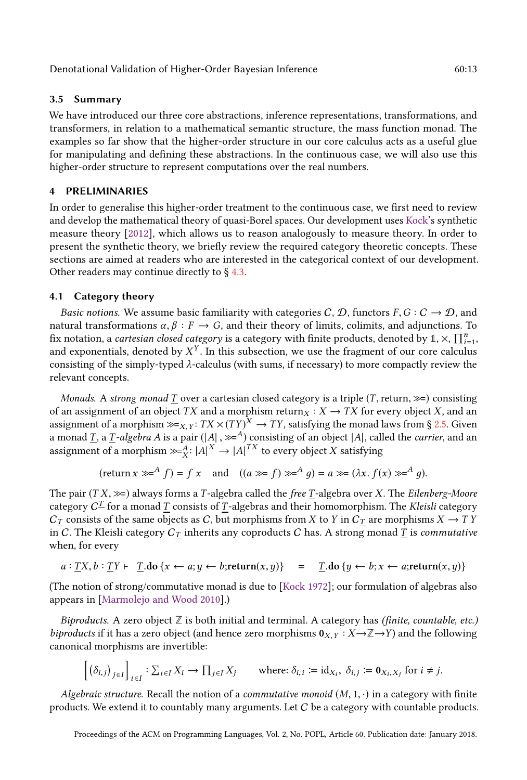# 3.5 Summary

We have introduced our three core abstractions, inference representations, transformations, and transformers, in relation to a mathematical semantic structure, the mass function monad. The examples so far show that the higher-order structure in our core calculus acts as a useful glue for manipulating and defining these abstractions. In the continuous case, we will also use this higher-order structure to represent computations over the real numbers.

## <span id="page-12-0"></span>4 PRELIMINARIES

In order to generalise this higher-order treatment to the continuous case, we first need to review and develop the mathematical theory of quasi-Borel spaces. Our development uses [Kock'](#page-27-8)s synthetic measure theory [\[2012\]](#page-27-8), which allows us to reason analogously to measure theory. In order to present the synthetic theory, we briefly review the required category theoretic concepts. These sections are aimed at readers who are interested in the categorical context of our development. Other readers may continue directly to § [4.3.](#page-15-0)

## 4.1 Category theory

*Basic notions.* We assume basic familiarity with categories C, D, functors F, G :  $C \rightarrow D$ , and natural transformations  $\alpha, \beta : F \to G$ , and their theory of limits, colimits, and adjunctions. To fix notation, a *cartesian closed category* is a category with finite products, denoted by  $1, \times, \prod_{i=1}^{n}$ , and exponentials, denoted by  $Y^Y$ . In this subsection, we use the fragment of our core calculus and exponentials, denoted by  $X<sup>Y</sup>$ . In this subsection, we use the fragment of our core calculus consisting of the simply-typed  $\lambda$ -calculus (with sums, if necessary) to more compactly review the relevant concepts.

Monads. A strong monad T over a cartesian closed category is a triple  $(T, return, \gg)$  consisting of an assignment of an object TX and a morphism return $_X : X \to TX$  for every object X, and an assignment of a morphism  $\gg_{X,Y} : TX \times (TY)^{X} \to TY$ , satisfying the monad laws from § [2.5.](#page-7-2) Given a monad <u>T</u>, a <u>T</u>-algebra A is a pair ( $|A|$ ,  $\gg$  A) consisting of an object  $|A|$ , called the *carrier*, and an assignment of a morphism  $\gg_X^{-A}: |A|^X \to |A|^{TX}$  to every object X satisfying

$$
(\text{return } x \gg A f) = f x \quad \text{and} \quad ((a \gg f) \gg A g) = a \gg = (\lambda x. f(x) \gg A g).
$$

The pair  $(T X, \gg)$  always forms a T-algebra called the free T-algebra over X. The Eilenberg-Moore category  $\mathcal{C}^\mathcal{I}$  for a monad  $\underline{\mathcal{T}}$  consists of  $\underline{\mathcal{T}}$ -algebras and their homomorphism. The *Kleisli* category  $C_T$  consists of the same objects as C, but morphisms from X to Y in  $C_T$  are morphisms  $X \to TY$ in C. The Kleisli category  $C_{\underline{T}}$  inherits any coproducts C has. A strong monad  $\underline{T}$  is commutative when, for every

$$
a: \underline{T}X, b: \underline{T}Y \vdash \underline{T}.\mathbf{do}\{x \leftarrow a; y \leftarrow b; \mathbf{return}(x, y)\} = \underline{T}.\mathbf{do}\{y \leftarrow b; x \leftarrow a; \mathbf{return}(x, y)\}
$$

(The notion of strong/commutative monad is due to [\[Kock](#page-27-9) [1972\]](#page-27-9); our formulation of algebras also appears in [\[Marmolejo and Wood](#page-27-10) [2010\]](#page-27-10).)

Biproducts. A zero object  $\mathbb Z$  is both initial and terminal. A category has (finite, countable, etc.) *biproducts* if it has a zero object (and hence zero morphisms  $\mathbf{0}_{X,Y} : X \to \mathbb{Z} \to Y$ ) and the following canonical morphisms are invertible:

$$
\left[\left(\delta_{i,j}\right)_{j\in I}\right]_{i\in I}:\sum_{i\in I}X_i\to\prod_{j\in I}X_j\qquad\text{where: }\delta_{i,i}\coloneqq\mathrm{id}_{X_i},\ \delta_{i,j}\coloneqq\mathbf{0}_{X_i,X_j}\text{ for }i\neq j.
$$

Algebraic structure. Recall the notion of a commutative monoid  $(M, 1, \cdot)$  in a category with finite products. We extend it to countably many arguments. Let  $C$  be a category with countable products.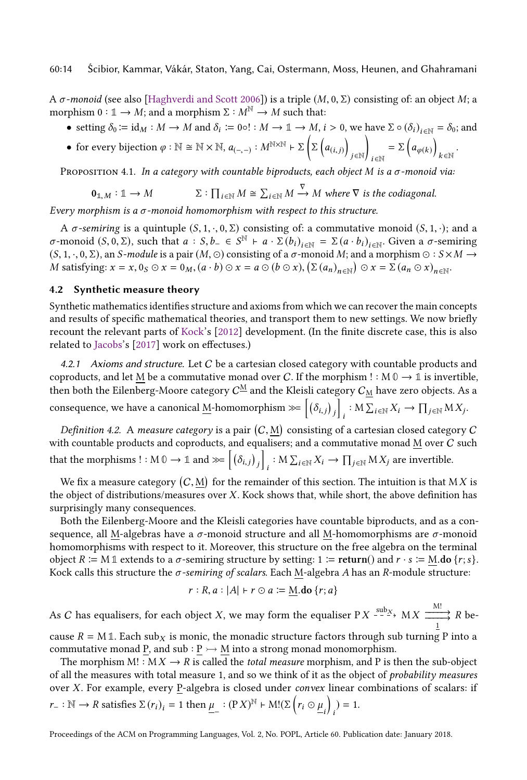A σ-monoid (see also [\[Haghverdi and Scott](#page-27-11) [2006\]](#page-27-11)) is a triple  $(M, 0, Σ)$  consisting of: an object M; a morphism  $0: \mathbb{1} \to M$ ; and a morphism  $\Sigma : M^{\mathbb{N}} \to M$  such that:

- setting  $\delta_0 := id_M : M \to M$  and  $\delta_i := 0 \circ ! : M \to 1 \to M$ ,  $i > 0$ , we have  $\Sigma \circ (\delta_i)_{i \in \mathbb{N}} = \delta_0$ ; and
- for every bijection  $\varphi : \mathbb{N} \cong \mathbb{N} \times \mathbb{N}$ ,  $a_{(-,-)} : M^{\mathbb{N} \times \mathbb{N}} \vdash \Sigma$  $\Big(a_{(i,j)}\Big)$  $j \in \mathbb{N}$ Ι  $\sum_{i \in \mathbb{N}} = \sum \left( a_{\varphi(k)} \right)$  $k \in \mathbb{N}$ .

PROPOSITION 4.1. In a category with countable biproducts, each object M is a  $\sigma$ -monoid via:

$$
\mathbf{0}_{\mathbb{1},M} : \mathbb{1} \to M \qquad \qquad \Sigma : \prod_{i \in \mathbb{N}} M \cong \sum_{i \in \mathbb{N}} M \xrightarrow{\nabla} M \text{ where } \nabla \text{ is the codiagonal.}
$$

Every morphism is a σ-monoid homomorphism with respect to this structure.

A  $\sigma$ -semiring is a quintuple  $(S, 1, \cdot, 0, \Sigma)$  consisting of: a commutative monoid  $(S, 1, \cdot)$ ; and a σ-monoid (S, 0, Σ), such that  $a : S, b_ - \in S^N + a \cdot \Sigma(b_i)_{i \in \mathbb{N}} = \Sigma(a \cdot b_i)_{i \in \mathbb{N}}$ . Given a σ-semiring (S, 1, 0, Σ) an S-module is a pair (M, ☉) consisting of a σ-monoid M; and a morphism ⊙; S × M →  $\sigma$ -monoid (S, 0, Σ), such that  $a : S, b_-\in S^*$  +  $a \cdot \Sigma (b_i)_{i \in \mathbb{N}} = \Sigma (a \cdot b_i)_{i \in \mathbb{N}}$ . Given a  $\sigma$ -semiring (S, 1, ·, 0, Σ), an *S-module* is a pair (*M*, ⊙) consisting of a  $\sigma$ -monoid *M*; and a morphism ⊙ : S × M satisfying:  $x = x, 0_S \odot x = 0_M$ ,  $(a \cdot b) \odot x = a \odot (b \odot x)$ ,  $(\Sigma (a_n)_{n \in \mathbb{N}}) \odot x = \Sigma (a_n \odot x)_{n \in \mathbb{N}}$ .

#### 4.2 Synthetic measure theory

Synthetic mathematics identifies structure and axioms from which we can recover the main concepts and results of specific mathematical theories, and transport them to new settings. We now briefly recount the relevant parts of [Kock'](#page-27-8)s [\[2012\]](#page-27-8) development. (In the finite discrete case, this is also related to [Jacobs'](#page-27-12)s [\[2017\]](#page-27-12) work on effectuses.)

4.2.1 Axioms and structure. Let  $C$  be a cartesian closed category with countable products and coproducts, and let M be a commutative monad over C. If the morphism  $\colon M \mathbb{O} \to \mathbb{1}$  is invertible, then both the Eilenberg-Moore category  $C^{\underline{M}}$  and the Kleisli category  $C_M$  have zero objects. As a consequence, we have a canonical <u>M</u>-homomorphism  $\gg = \Big[ \big( \delta_{i,j} \big)$ j  $\Big]_i : \mathcal{M} \sum_{i \in \mathbb{N}} X_i \to \prod_{j \in \mathbb{N}} \mathcal{M} X_j.$ 

Definition 4.2. A measure category is a pair  $(C, \underline{M})$  consisting of a cartesian closed category  $C$ <br>th countable products and coproducts, and equalisers: and a commutative monad M over  $C$  such with countable products and coproducts, and equalisers; and a commutative monad  $M$  over  $C$  such that the morphisms  $! : \mathsf{M} \, \mathbb{0} \to \mathbb{1}$  and  $\gg \Big[ \big( \delta_{i,j} \big)$ j  $\Big]_i : \mathrm{M}\sum_{i\in\mathbb{N}} X_i \to \prod_{j\in\mathbb{N}} \mathrm{M} X_j$  are invertible.

We fix a measure category  $(C, \underline{M})$  for the remainder of this section. The intuition is that MX is<br>a object of distributions/measures over X. Kock shows that, while short, the above definition has the object of distributions/measures over  $X$ . Kock shows that, while short, the above definition has surprisingly many consequences.

Both the Eilenberg-Moore and the Kleisli categories have countable biproducts, and as a consequence, all M-algebras have a σ-monoid structure and all M-homomorphisms are σ-monoid homomorphisms with respect to it. Moreover, this structure on the free algebra on the terminal object  $R \coloneqq M \mathbb{1}$  extends to a  $\sigma$ -semiring structure by setting: 1  $\coloneqq$  **return()** and  $r \cdot s \coloneqq M \cdot \text{d}\sigma \{r; s\}.$ Kock calls this structure the σ-semiring of scalars. Each M-algebra A has an R-module structure:

$$
r: R, a: |A| \vdash r \odot a \coloneqq \underline{\mathrm{M}}.\mathrm{do} \{r; a\}
$$

As C has equalisers, for each object X, we may form the equaliser  $PX \xrightarrow{\text{subx}} MX \xrightarrow{1} \frac{M!}{1}$  R because  $R = M \mathbb{1}$ . Each sub<sub>X</sub> is monic, the monadic structure factors through sub turning P into a commutative monad P, and sub :  $P \rightarrow M$  into a strong monad monomorphism.

The morphism M! :  $MX \rightarrow R$  is called the *total measure* morphism, and P is then the sub-object of all the measures with total measure 1, and so we think of it as the object of probability measures over X. For example, every P-algebra is closed under convex linear combinations of scalars: if  $r_-\colon \mathbb{N} \to R$  satisfies  $\Sigma(r_i)_i = 1$  then  $\underline{\mu}_\dashv : (\mathbb{P}X)^{\mathbb{N}} \vdash M!(\Sigma\left(r_i \odot \underline{\mu}_i\right)_i) = 1.$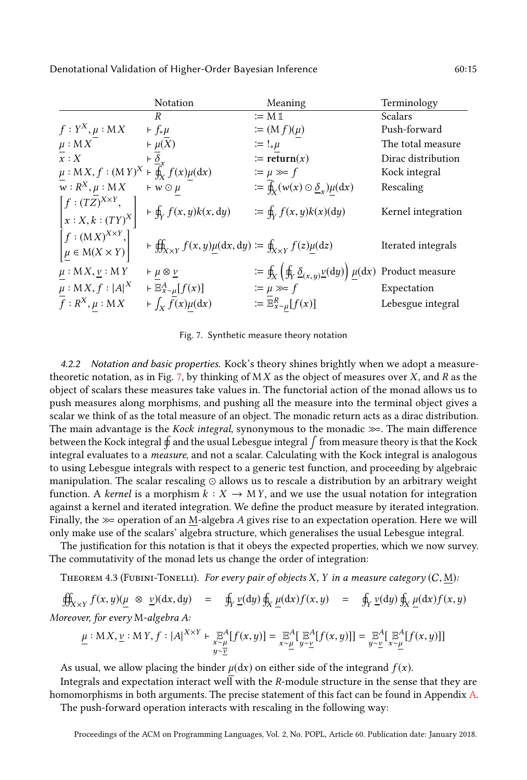<span id="page-14-0"></span>

|                                                                                                                                       | Notation                                                                                                           | Meaning                                                                                                                                                                                                           | Terminology                      |
|---------------------------------------------------------------------------------------------------------------------------------------|--------------------------------------------------------------------------------------------------------------------|-------------------------------------------------------------------------------------------------------------------------------------------------------------------------------------------------------------------|----------------------------------|
|                                                                                                                                       | R                                                                                                                  | $\coloneqq M1$                                                                                                                                                                                                    | Scalars                          |
| $f: Y^X, \mu: \mathcal{M} X$                                                                                                          | $F f_* \mu$                                                                                                        | $\coloneqq$ (M $f$ )( $\mu$ )                                                                                                                                                                                     | Push-forward                     |
| $\mu$ : MX                                                                                                                            | $\vdash \mu(X)$                                                                                                    | $:= \mathsf{l}_* \mu$                                                                                                                                                                                             | The total measure                |
| x: X                                                                                                                                  | $\vdash \delta$                                                                                                    | $:=$ return $(x)$                                                                                                                                                                                                 | Dirac distribution               |
| $\mu: M X, f: (M Y)^X \vdash \frac{\partial}{\partial x} x$<br>$\mu: M X, f: (M Y)^X \vdash \frac{\partial}{\partial x} f(x) \mu(dx)$ |                                                                                                                    | $:= \mu \gg f$                                                                                                                                                                                                    | Kock integral                    |
| $w: R^X, \mu: \mathbb{M} X$                                                                                                           | $\vdash w \odot \mu$                                                                                               | $:= \overline{\mathcal{H}}_x(w(x) \odot \underline{\delta}_x) \mu(dx)$                                                                                                                                            | Rescaling                        |
| $[f:(TZ)^{X\times Y},\]$<br>$x: X, k: (TY)^X$                                                                                         | $\vdash \oint_V f(x, y)k(x, dy)$                                                                                   | $\coloneqq \oint_V f(x, y) k(x) \, dy$                                                                                                                                                                            | Kernel integration               |
| $[f:(\mathbf{M}X)^{X\times Y},]$<br>$\mu \in M(X \times Y)$                                                                           | $\lim_{x \to Y} f(x, y) \mu(dx, dy) \coloneqq \iint_{X \times Y} f(z) \mu(dz)$                                     |                                                                                                                                                                                                                   | Iterated integrals               |
| $\mu$ : MX, $\underline{v}$ : MY<br>$\mu$ : MX, $f$ : $ A ^X$<br>$f: R^X, \mu: \mathcal{M} X$                                         | $\vdash \mu \otimes \underline{\nu}$<br>$\vdash \mathbb{E}^A_{x \sim \mu}[f(x)]$<br>$\vdash \int_{X} f(x) \mu(dx)$ | $\mathcal{L} = \oint_X \left( \oint_Y \underline{\delta}_{(x,y)} \underline{v}(\mathrm{d}y) \right) \mu(\mathrm{d}x)$ Product measure<br>$:= \mu \gg f$<br>$\coloneqq \overline{\mathbb{E}^R_{x \sim \mu}[f(x)]}$ | Expectation<br>Lebesgue integral |

Fig. 7. Synthetic measure theory notation

4.2.2 Notation and basic properties. Kock's theory shines brightly when we adopt a measure-theoretic notation, as in Fig. [7,](#page-14-0) by thinking of  $MX$  as the object of measures over  $X$ , and  $R$  as the object of scalars these measures take values in. The functorial action of the monad allows us to push measures along morphisms, and pushing all the measure into the terminal object gives a scalar we think of as the total measure of an object. The monadic return acts as a dirac distribution. The main advantage is the Kock integral, synonymous to the monadic  $\gg$ . The main difference between the Kock integral  $\oint$  and the usual Lebesgue integral  $\int$  from measure theory is that the Kock integral evaluates to a measure, and not a scalar. Calculating with the Kock integral is analogous to using Lebesgue integrals with respect to a generic test function, and proceeding by algebraic manipulation. The scalar rescaling  $\odot$  allows us to rescale a distribution by an arbitrary weight function. A kernel is a morphism  $k : X \to M$ , and we use the usual notation for integration against a kernel and iterated integration. We define the product measure by iterated integration. Finally, the  $\gg$  operation of an M-algebra A gives rise to an expectation operation. Here we will only make use of the scalars' algebra structure, which generalises the usual Lebesgue integral.

The justification for this notation is that it obeys the expected properties, which we now survey. The commutativity of the monad lets us change the order of integration:

THEOREM 4.3 (FUBINI-TONELLI). For every pair of objects X, Y in a measure category  $(C, M)$ :

 $\oiint_{X \times Y} f(x, y) (\underline{\mu} \otimes \underline{\nu}) (dx, dy) = \underline{\mu}$  $v(dy)$ </u>  $\oint_X \underline{\mu}(\mathrm{d}x) f(x, y) = \oint$  $v(dy)$ </u>  $\oint_X \underline{\mu}(\mathrm{d}x) f(x, y)$ Moreover, for every M-algebra A:

$$
\underline{\mu}: \mathcal{M}X, \underline{\nu}: \mathcal{M}Y, f: |A|^{X \times Y} \vdash \underset{y \sim \underline{\nu}}{\mathbb{E}}{}^A_{\underline{x \sim \underline{\mu}}} [f(x, y)] = \underset{x \sim \underline{\mu}}{\mathbb{E}}{}^A_{\underline{y \sim \underline{\nu}}} [f(x, y)]] = \underset{y \sim \underline{\nu}}{\mathbb{E}}{}^A_{\underline{x \sim \underline{\mu}}} [f(x, y)]]
$$

As usual, we allow placing the binder  $\mu(dx)$  on either side of the integrand  $f(x)$ .

Integrals and expectation interact well with the R-module structure in the sense that they are homomorphisms in both arguments. The precise statement of this fact can be found in Appendix [A.](#page-29-1)

The push-forward operation interacts with rescaling in the following way: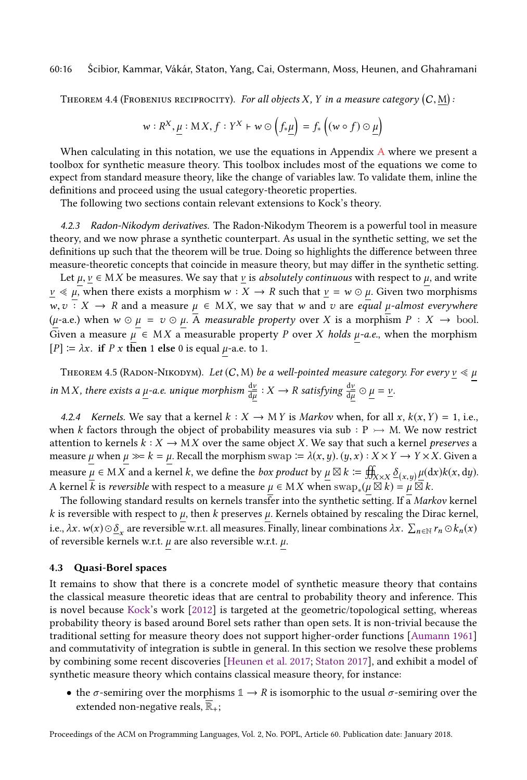#### 60:16 Ścibior, Kammar, Vákár, Staton, Yang, Cai, Ostermann, Moss, Heunen, and Ghahramani

THEOREM 4.4 (FROBENIUS RECIPROCITY). For all objects X, Y in a measure category  $(C, \underline{M})$ :

$$
w: R^X, \underline{\mu}: \mathcal{M}X, f: Y^X \vdash w \odot (f_*\underline{\mu}) = f_*((w \circ f) \odot \underline{\mu})
$$

When calculating in this notation, we use the equations in [A](#page-29-1)ppendix  $\bf{A}$  where we present a toolbox for synthetic measure theory. This toolbox includes most of the equations we come to expect from standard measure theory, like the change of variables law. To validate them, inline the definitions and proceed using the usual category-theoretic properties.

The following two sections contain relevant extensions to Kock's theory.

<span id="page-15-1"></span>4.2.3 Radon-Nikodym derivatives. The Radon-Nikodym Theorem is a powerful tool in measure theory, and we now phrase a synthetic counterpart. As usual in the synthetic setting, we set the definitions up such that the theorem will be true. Doing so highlights the difference between three measure-theoretic concepts that coincide in measure theory, but may differ in the synthetic setting.

Let  $\mu, \nu \in MX$  be measures. We say that  $\nu$  is absolutely continuous with respect to  $\mu$ , and write  $v \ll \mu$ , when there exists a morphism  $w: X \to R$  such that  $v = w \odot \mu$ . Given two morphisms w,  $v : X \to R$  and a measure  $\mu \in M X$ , we say that w and v are equal  $\mu$ -almost everywhere ( $\mu$ -a.e.) when  $w \odot \mu = v \odot \mu$ . A measurable property over X is a morphism  $P : X \rightarrow \text{bool}$ . Given a measure  $\mu \in MX$  a measurable property P over X holds  $\mu$ -a.e., when the morphism  $[P] \coloneqq \lambda x$ . if P x then 1 else 0 is equal  $\mu$ -a.e. to 1.

THEOREM 4.5 (RADON-NIKODYM). Let  $(C, M)$  be a well-pointed measure category. For every  $\underline{v} \ll \mu$ in MX, there exists a  $\mu$ -a.e. unique morphism  $\frac{d\nu}{d\nu}$  $\overline{d\mu}$ :  $X \to R$  satisfying  $\frac{dy}{dx}$  $rac{\mathrm{d} \nu}{\mathrm{d} \mu} \odot \mu = \nu.$ 

4.2.4 Kernels. We say that a kernel  $k : X \to M$  is Markov when, for all x,  $k(x, Y) = 1$ , i.e., when k factors through the object of probability measures via sub :  $P \rightarrow M$ . We now restrict attention to kernels  $k : X \to MX$  over the same object X. We say that such a kernel *preserves* a measure  $\mu$  when  $\mu \gg k = \mu$ . Recall the morphism swap  $\coloneqq \lambda(x, y)$ .  $(y, x) : X \times Y \to Y \times X$ . Given a measure  $\mu \in M X$  and a kernel k, we define the *box product* by  $\mu \boxtimes k := \oiint_{X \times X} \underline{\delta}_{(x, y)} \mu(dx) k(x, dy)$ . A kernel k is *reversible* with respect to a measure  $\mu \in M X$  when  $\sup_{\kappa} (\mu \boxtimes k) = \mu \boxtimes k$ .

The following standard results on kernels transfer into the synthetic setting. If a Markov kernel k is reversible with respect to  $\mu$ , then k preserves  $\mu$ . Kernels obtained by rescaling the Dirac kernel, i.e.,  $\lambda x. w(x) \odot \underline{\delta}_x$  are reversible w.r.t. all measures. Finally, linear combinations  $\lambda x. \sum_{n \in \mathbb{N}} r_n \odot k_n(x)$ <br>of reversible kernels w.r.t. *u* are also reversible w.r.t. *u* of reversible kernels w.r.t.  $\mu$  are also reversible w.r.t.  $\mu$ .

#### <span id="page-15-0"></span>4.3 Quasi-Borel spaces

It remains to show that there is a concrete model of synthetic measure theory that contains the classical measure theoretic ideas that are central to probability theory and inference. This is novel because [Kock'](#page-27-8)s work [\[2012\]](#page-27-8) is targeted at the geometric/topological setting, whereas probability theory is based around Borel sets rather than open sets. It is non-trivial because the traditional setting for measure theory does not support higher-order functions [\[Aumann](#page-26-3) [1961\]](#page-26-3) and commutativity of integration is subtle in general. In this section we resolve these problems by combining some recent discoveries [\[Heunen et al.](#page-27-3) [2017;](#page-27-3) [Staton](#page-28-2) [2017\]](#page-28-2), and exhibit a model of synthetic measure theory which contains classical measure theory, for instance:

• the  $\sigma$ -semiring over the morphisms  $\mathbb{1} \to R$  is isomorphic to the usual  $\sigma$ -semiring over the extended non-negative reals,  $\mathbb{R}_+$ ;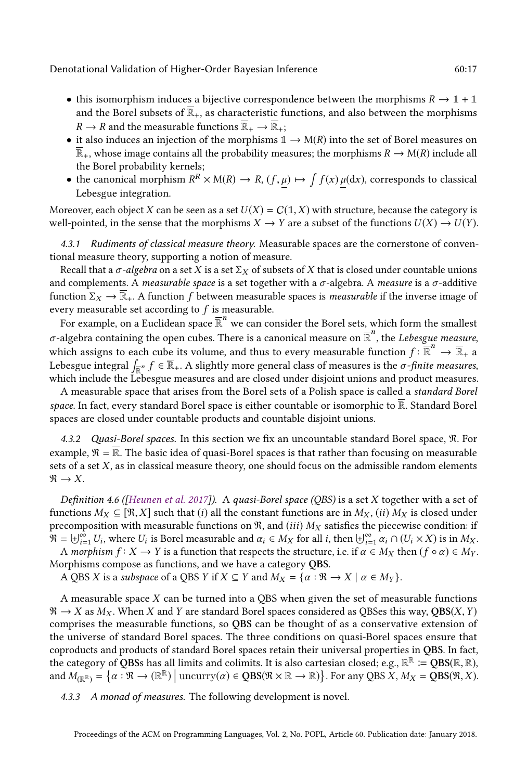- this isomorphism induces a bijective correspondence between the morphisms  $R \to 1 + 1$ and the Borel subsets of  $\overline{\mathbb{R}}_{+}$ , as characteristic functions, and also between the morphisms  $R \to R$  and the measurable functions  $\overline{\mathbb{R}}_+ \to \overline{\mathbb{R}}_+$ ;
- it also induces an injection of the morphisms  $1 \rightarrow M(R)$  into the set of Borel measures on  $\mathbb{R}_+$ , whose image contains all the probability measures; the morphisms  $R \to M(R)$  include all the Borel probability kernels;
- the canonical morphism  $R^R \times M(R) \to R$ ,  $(f, \underline{\mu}) \mapsto \int f(x) \underline{\mu}(\mathrm{d}x)$ , corresponds to classical Lebesgue integration Lebesgue integration.

Moreover, each object X can be seen as a set  $U(X) = C(1, X)$  with structure, because the category is well-pointed, in the sense that the morphisms  $X \to Y$  are a subset of the functions  $U(X) \to U(Y)$ .

4.3.1 Rudiments of classical measure theory. Measurable spaces are the cornerstone of conventional measure theory, supporting a notion of measure.

Recall that a  $\sigma$ -algebra on a set X is a set  $\Sigma_X$  of subsets of X that is closed under countable unions and complements. A measurable space is a set together with a  $\sigma$ -algebra. A measure is a  $\sigma$ -additive function  $\Sigma_X \to \overline{\mathbb{R}}_+$ . A function f between measurable spaces is *measurable* if the inverse image of every measurable set according to  $f$  is measurable.

For example, on a Euclidean space  $\overline{\mathbb{R}}^n$  we can consider the Borel sets, which form the smallest σ-algebra containing the open cubes. There is a canonical measure on  $\overline{\mathbb{R}}^n$ , the *Lebesgue measure*, which assigns to each cube its volume, and thus to every measurable function  $f\colon\overline{\R}^n\to\overline{\R}_+$  a Lebesgue integral  $\int_{\R^n}f\in\overline{\R}_+ .$  A slightly more general class of measures is the  $\sigma$ -finite measures, which include the Lebesgue measures and are closed under disjoint unions and product measures.

A measurable space that arises from the Borel sets of a Polish space is called a standard Borel space. In fact, every standard Borel space is either countable or isomorphic to  $\overline{\mathbb{R}}$ . Standard Borel spaces are closed under countable products and countable disjoint unions.

4.3.2 Quasi-Borel spaces. In this section we fix an uncountable standard Borel space,  $\Re$ . For example,  $\mathfrak{R} = \mathbb{R}$ . The basic idea of quasi-Borel spaces is that rather than focusing on measurable sets of a set  $X$ , as in classical measure theory, one should focus on the admissible random elements  $\mathfrak{R} \to X$ .

Definition 4.6 ([\[Heunen et al.](#page-27-3) [2017\]](#page-27-3)). A quasi-Borel space (QBS) is a set X together with a set of functions  $M_X \subseteq [\mathfrak{R}, X]$  such that (i) all the constant functions are in  $M_X$ , (ii)  $M_X$  is closed under precomposition with measurable functions on  $\Re$ , and (iii)  $M_X$  satisfies the piecewise condition: if  $\mathfrak{R} = \biguplus_{i=1}^{\infty} U_i$ , where  $U_i$  is Borel measurable and  $\alpha_i \in M_X$  for all *i*, then  $\biguplus_{i=1}^{\infty} \alpha_i \cap (U_i \times X)$  is in  $M_X$ . A morphism  $f: X \to Y$  is a function that respects the structure, i.e. if  $\alpha \in M_X$  then  $(f \circ \alpha) \in M_Y$ .

Morphisms compose as functions, and we have a category QBS.

A QBS X is a subspace of a QBS Y if  $X \subseteq Y$  and  $M_X = \{ \alpha : \Re \to X \mid \alpha \in M_Y \}.$ 

A measurable space  $X$  can be turned into a QBS when given the set of measurable functions  $\mathfrak{R} \to X$  as  $M_X$ . When X and Y are standard Borel spaces considered as QBSes this way, QBS(X, Y) comprises the measurable functions, so QBS can be thought of as a conservative extension of the universe of standard Borel spaces. The three conditions on quasi-Borel spaces ensure that coproducts and products of standard Borel spaces retain their universal properties in QBS. In fact, the category of QBSs has all limits and colimits. It is also cartesian closed; e.g.,  $\mathbb{R}^{\mathbb{R}} := \text{QBS}(\mathbb{R}, \mathbb{R})$ ,<br>and  $M_{\mathbb{R}} \to \{ \alpha : \mathbb{R} \to (\mathbb{R}^{\mathbb{R}}) \mid \text{uncurve}(\alpha) \in \text{OBS}(\mathbb{R} \times \mathbb{R} \to \mathbb{R}) \}$ . For any OBS and  $M_{(\mathbb{R}^{\mathbb{R}})} = {\alpha : \mathfrak{R} \to (\mathbb{R}^{\mathbb{R}}) | \text{uncarry}(\alpha) \in \text{QBS}(\mathfrak{R} \times \mathbb{R} \to \mathbb{R})}.$  For any QBS X,  $M_X = \widetilde{\text{QBS}(\mathfrak{R}, X)}$ .

4.3.3 A monad of measures. The following development is novel.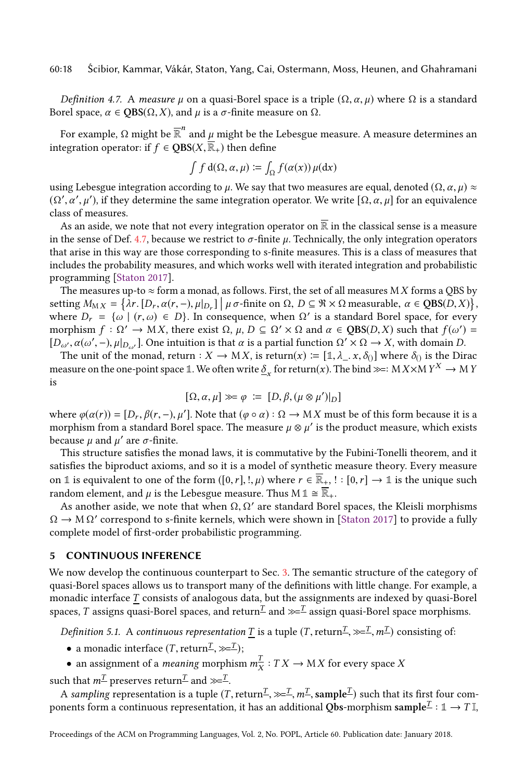## 60:18 Ścibior, Kammar, Vákár, Staton, Yang, Cai, Ostermann, Moss, Heunen, and Ghahramani

<span id="page-17-1"></span>Definition 4.7. A measure  $\mu$  on a quasi-Borel space is a triple  $(\Omega, \alpha, \mu)$  where  $\Omega$  is a standard Borel space,  $\alpha \in \text{QBS}(\Omega, X)$ , and  $\mu$  is a σ-finite measure on  $\Omega$ .

For example, Ω might be  $\overline{\mathbb{R}}^n$  and  $\mu$  might be the Lebesgue measure. A measure determines and the constant if  $f \in \text{CBS}(Y, \overline{\mathbb{R}})$  then define integration operator: if  $f \in \text{QBS}(X, \overline{\mathbb{R}}_+)$  then define

$$
\int f \, d(\Omega, \alpha, \mu) \coloneqq \int_{\Omega} f(\alpha(x)) \, \mu(dx)
$$

using Lebesgue integration according to  $\mu$ . We say that two measures are equal, denoted  $(\Omega, \alpha, \mu) \approx$ <br>( $\Omega'$ ,  $\alpha'$ ,  $\mu'$ ) if they determine the same integration operator. We write  $[\Omega, \alpha, \mu]$  for an equivalence  $(\Omega', \alpha', \mu')$ , if they determine the same integration operator. We write  $[\Omega, \alpha, \mu]$  for an equivalence class of measures.

As an aside, we note that not every integration operator on  $\overline{\mathbb{R}}$  in the classical sense is a measure in the sense of Def. [4.7,](#page-17-1) because we restrict to  $\sigma$ -finite  $\mu$ . Technically, the only integration operators that arise in this way are those corresponding to s-finite measures. This is a class of measures that includes the probability measures, and which works well with iterated integration and probabilistic programming [\[Staton](#page-28-2) [2017\]](#page-28-2).

The measures up-to  $\approx$  form a monad, as follows. First, the set of all measures M X forms a QBS by setting  $M_{\text{MX}} = \left\{ \lambda r \cdot [D_r, \alpha(r, -), \mu |_{D_r}] \mid \mu \sigma \text{-finite on } \Omega, D \subseteq \mathcal{R} \times \Omega \text{ measurable, } \alpha \in \text{QBS}(D, X) \right\},$ <br>where  $D = \left\{ \omega \mid (r, \omega) \in D \right\}$  In consequence, when  $Q'$  is a standard Borel space, for every where  $D_r = {\omega \mid (r, \omega) \in D}$ . In consequence, when  $\Omega'$  is a standard Borel space, for every morphism  $f : \Omega' \to M X$  there exist  $\Omega, \mu, D \subset \Omega' \times \Omega$  and  $\alpha \in \text{ORS}(D, X)$  such that  $f(\alpha') =$ morphism  $f : \Omega' \to MX$ , there exist  $\Omega$ ,  $\mu$ ,  $D \subseteq \Omega' \times \Omega$  and  $\alpha \in \text{QBS}(D,X)$  such that  $f(\omega') =$ <br> $[D \downarrow \alpha'(\alpha' - \mu]_{\text{D}}]$ . One intuition is that  $\alpha$  is a partial function  $\Omega' \times \Omega \to X$  with domain  $D$  $[D_{\omega}, \alpha(\omega', -), \mu]_{D_{\omega'}}]$ . One intuition is that  $\alpha$  is a partial function  $\Omega' \times \Omega \to X$ , with domain D.<br>The unit of the monad return  $: Y \to M X$  is return(x) = [1, ], x  $\delta_{\Omega}$ ] where  $\delta_{\Omega}$  is the Div

The unit of the monad, return :  $X \to MX$ , is return(x)  $\coloneqq [1, \lambda_{\perp}, x, \delta_0]$  where  $\delta_0$  is the Dirac measure on the one-point space  $\mathbb{1}$ . We often write  $\underline{\delta}_x$  for  $\text{return}(x)$ . The bind  $\gg: M X \times M Y^X \to M Y$ is

$$
[\Omega, \alpha, \mu] \ggg \varphi := [D, \beta, (\mu \otimes \mu')|_D]
$$

where  $\varphi(\alpha(r)) = [D_r, \beta(r, -), \mu']$ . Note that  $(\varphi \circ \alpha) : \Omega \to M X$  must be of this form because it is a morphism from a standard Borel space. The measure  $\mu \otimes \mu'$  is the product measure which exists morphism from a standard Borel space. The measure  $\mu \otimes \mu'$  is the product measure, which exists because  $\mu$  and  $\mu'$  are  $\sigma$ -finite.

This structure satisfies the monad laws, it is commutative by the Fubini-Tonelli theorem, and it satisfies the biproduct axioms, and so it is a model of synthetic measure theory. Every measure on 1 is equivalent to one of the form  $([0, r], !, \mu)$  where  $r \in \overline{\mathbb{R}}_+$ ,  $! : [0, r] \to 1$  is the unique such random element, and  $\mu$  is the Lebesgue measure. Thus  $M \mathbb{1} \cong \overline{\mathbb{R}}_+$ .

As another aside, we note that when  $\Omega$ ,  $\Omega'$  are standard Borel spaces, the Kleisli morphisms  $\rightarrow$  M O' correspond to s-finite kernels, which were shown in [Staton 2017] to provide a fully  $\Omega \to M \Omega'$  correspond to s-finite kernels, which were shown in [\[Staton](#page-28-2) [2017\]](#page-28-2) to provide a fully complete model of first-order probabilistic programming complete model of first-order probabilistic programming.

## <span id="page-17-0"></span>5 CONTINUOUS INFERENCE

We now develop the continuous counterpart to Sec. [3.](#page-7-0) The semantic structure of the category of quasi-Borel spaces allows us to transport many of the definitions with little change. For example, a monadic interface T consists of analogous data, but the assignments are indexed by quasi-Borel spaces, T assigns quasi-Borel spaces, and return<sup>T</sup> and  $\gg = T$  assign quasi-Borel space morphisms.

Definition 5.1. A continuous representation  $\underline{T}$  is a tuple  $(T, return^{\mathcal{I}}, \gg^{\mathcal{I}}, m^{\mathcal{I}})$  consisting of:

• a monadic interface  $(T, return^T, \gg^T)$ ;

• a monadic interface (*T*, return<sup>⊥</sup>, ≫=<sup>⊥</sup>);<br>• an assignment of a *meaning* morphism  $m_X^T : T X \to M X$  for every space *X* 

such that  $m^T$  preserves return<sup>T</sup> and  $\gg T$ .

A sampling representation is a tuple  $(T, return^T, \gg^T, m^T, sample^T)$  such that its first four com-<br>nents form a continuous representation it has an additional Obs-morphism sample  $: \mathbb{R} \to T\mathbb{R}$ ponents form a continuous representation, it has an additional Qbs-morphism sample<sup> $\mathcal{I}: \mathbb{1} \to T\mathbb{I}$ ,</sup>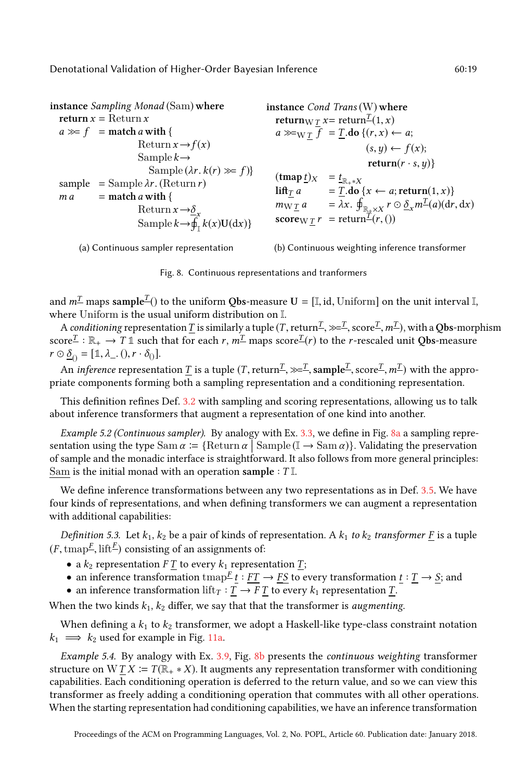<span id="page-18-0"></span>instance Sampling Monad (Sam) where return  $x =$  Return  $x$  $a \gg f$  = match a with { Return  $x \rightarrow f(x)$ Sample  $k \rightarrow$ Sample  $(\lambda r. k(r) \gg f)$ } sample = Sample  $\lambda r$ . (Return r)<br>  $ma$  = **match** a with {  $=$  match a with { Return  $x \rightarrow \underline{\delta}_x$ Sample  $k \rightarrow \oint_{\mathbb{I}} k(x) \mathbf{U}(\mathrm{d} x)$ instance Cond Trans (W) where return $W \underline{T} x = \text{return} \frac{T(1, x)}{T(1, x)}$  $a \gg \equiv_{\text{W} T} f = \underline{T}$ .do  $\{(r, x) \leftarrow a;$  $(s, y) \leftarrow f(x);$ return( $r \cdot s, y$ )}  $(\text{tmap } t)_X = t_{\mathbb{R}_+ * X}$ liT <sup>a</sup> <sup>=</sup> <sup>T</sup> .do {<sup>x</sup> <sup>←</sup> <sup>a</sup>; return(1, <sup>x</sup>)}  $m_{\overline{V}} \overline{r} a$  =  $\lambda x.$   $\oint_{\mathbb{R}_+ \times X} r \odot \underline{\delta}_x m^{\mathbb{Z}}(a) (\mathrm{d}r, \mathrm{d}x)$ **score**W<sub>*I*</sub>  $r$  = return<sup>*I*</sup> $(r, ()$ )

(a) Continuous sampler representation

(b) Continuous weighting inference transformer

Fig. 8. Continuous representations and tranformers

and  $m^{\mathcal{I}}$  maps sample<sup> $\mathcal{I}$ </sup>() to the uniform Qbs-measure U = [I, id, Uniform] on the unit interval I, where Uniform is the usual uniform distribution on I.

A conditioning representation  $\underline{T}$  is similarly a tuple  $(T, return\overline{T}, \gg=\overline{T}, score\overline{T}, m\overline{T})$ , with a **Qbs-morphism**<br> $\text{vec}$   $\vdots \gg T$   $\exists$  such that for each  $r, m\overline{T}$  mans score $\overline{T}(r)$  to the r-rescaled unit Obs-measure A conditioning representation <u>T</u> is similarly a tuple  $(T, return^{\perp}, \gg^{\perp}, score^{\perp}, m^{\perp})$ , with a **Qbs**-morp score<sup>T</sup> :  $\mathbb{R}_+ \to T \mathbb{1}$  such that for each  $r, m^{\perp}$  maps score<sup>T</sup>( $r$ ) to the  $r$ -rescaled unit **Qbs**-measure  $r \odot \underline{\delta}_0 = [\mathbb{1}, \lambda_-. \cdot (), r \cdot \delta_0].$ 

An *inference* representation  $\underline{T}$  is a tuple  $(T, \text{return}^{\mathcal{I}}, \gg^{\mathcal{I}}$ , sample<sup> $T$ </sup>, score<sup> $T$ </sup>,  $m^{\mathcal{I}}$ ) with the appro-<br>iste components forming both a sampling representation and a conditioning representation priate components forming both a sampling representation and a conditioning representation.

This definition refines Def.  $3.2$  with sampling and scoring representations, allowing us to talk about inference transformers that augment a representation of one kind into another.

Example 5.2 (Continuous sampler). By analogy with Ex. [3.3,](#page-9-0) we define in Fig. [8a](#page-18-0) a sampling representation using the type  $\text{Sam } \alpha := \{\text{Return } \alpha \mid \text{Sample}(\mathbb{I} \to \text{Sam } \alpha)\}.$  Validating the preservation of sample and the monadic interface is straightforward. It also follows from more general principles: Sam is the initial monad with an operation sample  $:T \mathbb{I}$ .

We define inference transformations between any two representations as in Def. [3.5.](#page-10-1) We have four kinds of representations, and when defining transformers we can augment a representation with additional capabilities:

Definition 5.3. Let  $k_1, k_2$  be a pair of kinds of representation. A  $k_1$  to  $k_2$  transformer  $\underline{F}$  is a tuple  $(F, \text{tmap}_T^F, \text{lift}_F^F)$  consisting of an assignments of:

- a  $k_2$  representation  $FT$  to every  $k_1$  representation  $T$ ;
- an inference transformation  $\text{tmap}^E \cdot \underline{FT} \to \underline{FS}$  to every transformation  $\underline{t} : \underline{T} \to \underline{S}$ ; and
- an inference transformation lift<sub>*T*</sub> : *T*  $\rightarrow$  *FT* to every  $k_1$  representation *T*.

When the two kinds  $k_1$ ,  $k_2$  differ, we say that that the transformer is *augmenting*.

When defining a  $k_1$  to  $k_2$  transformer, we adopt a Haskell-like type-class constraint notation  $k_1 \implies k_2$  used for example in Fig. [11a.](#page-22-1)

<span id="page-18-1"></span>Example 5.4. By analogy with Ex. [3.9,](#page-11-0) Fig. [8b](#page-18-0) presents the continuous weighting transformer structure on W  $TX \coloneqq T(\mathbb{R}_+ * X)$ . It augments any representation transformer with conditioning capabilities. Each conditioning operation is deferred to the return value, and so we can view this transformer as freely adding a conditioning operation that commutes with all other operations. When the starting representation had conditioning capabilities, we have an inference transformation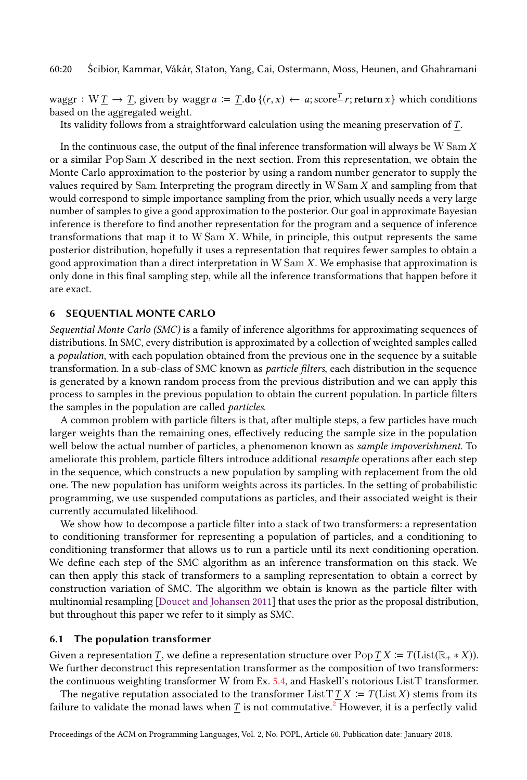waggr :  $W\underline{T} \to \underline{T}$ , given by waggr  $a := \underline{T}$ .do  $\{(r, x) \leftarrow a; \text{score}\underline{T}r; \text{return }x\}$  which conditions based on the aggregated weight based on the aggregated weight.

Its validity follows from a straightforward calculation using the meaning preservation of T .

In the continuous case, the output of the final inference transformation will always be  $W \text{ Sam } X$ or a similar Pop Sam X described in the next section. From this representation, we obtain the Monte Carlo approximation to the posterior by using a random number generator to supply the values required by Sam. Interpreting the program directly in W Sam X and sampling from that would correspond to simple importance sampling from the prior, which usually needs a very large number of samples to give a good approximation to the posterior. Our goal in approximate Bayesian inference is therefore to find another representation for the program and a sequence of inference transformations that map it to  $W\mathrm{Sam} X$ . While, in principle, this output represents the same posterior distribution, hopefully it uses a representation that requires fewer samples to obtain a good approximation than a direct interpretation in W Sam  $X$ . We emphasise that approximation is only done in this final sampling step, while all the inference transformations that happen before it are exact.

## <span id="page-19-0"></span>6 SEQUENTIAL MONTE CARLO

Sequential Monte Carlo (SMC) is a family of inference algorithms for approximating sequences of distributions. In SMC, every distribution is approximated by a collection of weighted samples called a population, with each population obtained from the previous one in the sequence by a suitable transformation. In a sub-class of SMC known as *particle filters*, each distribution in the sequence is generated by a known random process from the previous distribution and we can apply this process to samples in the previous population to obtain the current population. In particle lters the samples in the population are called particles.

A common problem with particle filters is that, after multiple steps, a few particles have much larger weights than the remaining ones, effectively reducing the sample size in the population well below the actual number of particles, a phenomenon known as sample impoverishment. To ameliorate this problem, particle filters introduce additional *resample* operations after each step in the sequence, which constructs a new population by sampling with replacement from the old one. The new population has uniform weights across its particles. In the setting of probabilistic programming, we use suspended computations as particles, and their associated weight is their currently accumulated likelihood.

We show how to decompose a particle filter into a stack of two transformers: a representation to conditioning transformer for representing a population of particles, and a conditioning to conditioning transformer that allows us to run a particle until its next conditioning operation. We define each step of the SMC algorithm as an inference transformation on this stack. We can then apply this stack of transformers to a sampling representation to obtain a correct by construction variation of SMC. The algorithm we obtain is known as the particle filter with multinomial resampling [\[Doucet and Johansen](#page-26-1) [2011\]](#page-26-1) that uses the prior as the proposal distribution, but throughout this paper we refer to it simply as SMC.

## 6.1 The population transformer

Given a representation T, we define a representation structure over PopT  $X \coloneqq T(\text{List}(\mathbb{R}_+ * X))$ . We further deconstruct this representation transformer as the composition of two transformers: the continuous weighting transformer W from Ex. [5.4,](#page-18-1) and Haskell's notorious ListT transformer.

The negative reputation associated to the transformer ListT  $TX \coloneqq T (\text{List }X)$  stems from its failure to validate the monad laws when T is not commutative.<sup>[2](#page-20-0)</sup> However, it is a perfectly valid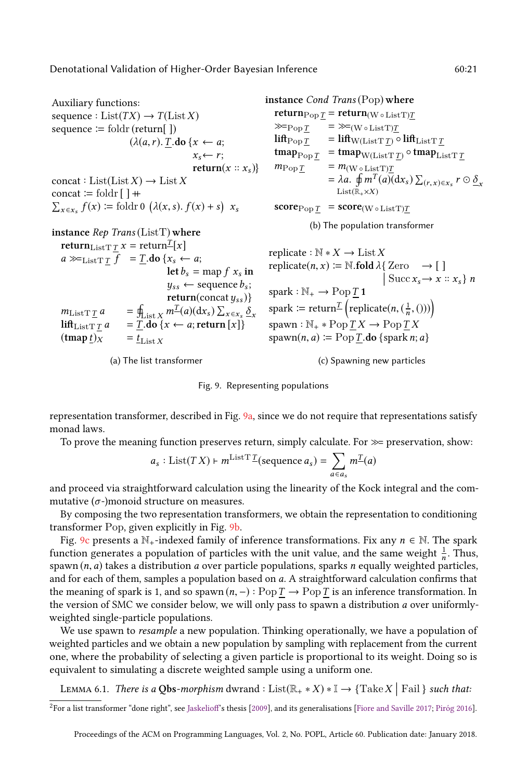<span id="page-20-1"></span>Auxiliary functions: sequence :  $List(TX) \rightarrow T(List X)$ sequence  $\vcentcolon=$  foldr (return[ ])  $(\lambda(a, r), T \cdot \textbf{do} \{x \leftarrow a;$  $x_s \leftarrow r$ ; return $(x :: x_s)$ }  $concat : List(List X) \rightarrow List X$ concat  $\vcentcolon=$  foldr  $[$   $]+$  $\sum_{x \in x_s} f(x) \coloneqq \text{foldr 0 } (\lambda(x, s), f(x) + s) x_s$ instance Rep Trans (ListT) where return $\lim_{x \to \infty} \frac{1}{x} x = \text{return} \frac{1}{x} [x]$  $a \gg \equiv_{\text{ListT } T} f = \underline{T}$ .do { $x_s \leftarrow a$ ; let  $b_s = \text{map } f x_s$  in  $y_{ss} \leftarrow \text{sequence } b_s;$ return(concat  $y_{ss}$ )}  $m_{\rm ListT\,\textit{\underline{T}}\,\textit{\underline{a}}} \ \text{lift}_{\rm ListT\,\textit{\underline{T}}\,\textit{\underline{a}}} \$  $\oint_{\text{List } X} m^{\mathcal{I}}(a)(\mathrm{d}x_s) \sum_{x \in x_s} \delta$ <br>  $\mathcal{I}$  do  $\{x \leftarrow a : \text{return } [x]\}$  $\begin{array}{lll}\n\lim_{L\text{ist}}T \underline{T} a & = \underline{T} \cdot \text{do} \{x \leftarrow a; \text{return } [x]\} \\
\lim_{L\to\infty} T \underline{T} a & = \underline{T} \cdot \text{do} \{x \leftarrow a; \text{return } [x]\}\n\end{array}$  $(\text{trap } t)_X = t_{\text{List } X}$ 

(a) The list transformer

```
instance Cond Trans (Pop) where
     return<sub>Pop</sub> \underline{T} = return(W ∘ ListT)\underline{T}<br> \gg=<sub>Pop</sub> \underline{T} = \gg=(W ∘ ListT)\underline{T}\frac{\partial^2 P_{\text{op}} T}{\partial \mathbf{f} P_{\text{op}} T} = \frac{\partial^2 W_{\text{op}} T}{\partial \mathbf{f} P_{\text{op}} T} = \frac{\partial W_{\text{op}} T}{\partial \mathbf{f} P_{\text{op}} T}= lift<sub>W(ListTT)</sub> \circ lift<sub>ListTT</sub>
      \frac{\text{tmap}_{\text{Pop}\underline{T}}}{\text{tmap}_{\text{W(Listr}\underline{T}}}\circ\text{tmap}_{\text{List}\underline{T}}\underline{T}m_{\text{Pop}}_{\underline{T}} = m_{(\text{W} \circ \text{ListT})_{\underline{T}}}= \lambda a. \oint m^T(a)\vec{d}x_s) \sum_{(r,x)\in x_s} r \odot \vec{b}\check{\mathbb{L}\mathrm{ist}}(\check{\mathbb{R}}_+\!\times\! X)score_{PopT} = score_{(W \circ ListT)T}(b) The population transformer
           r \cdot W * V \cdot I ist V
```
replicate : 
$$
\mathbb{N} * X \to \text{List } X
$$
  
replicate(*n*, *x*) :=  $\mathbb{N}.\text{fold } \lambda \{ \text{Zero } \to []$   
\n
$$
\left\{ \text{Succ } x_s \to x :: x_s \} \right. n
$$
\nspark :  $\mathbb{N}_+ \to \text{Pop } \underline{T} \mathbf{1}$   
\nspark := return <sup>$\underline{T}$</sup>  (replicate(*n*,  $(\frac{1}{n}, 0)$ ))  
\nspam :  $\mathbb{N}_+ * \text{Pop } \underline{T} X \to \text{Pop } \underline{T} X$   
\nspam(*n*, *a*) := Pop  $\underline{T}$ .**do {spark** *n*; *a*}

(c) Spawning new particles

Fig. 9. Representing populations

representation transformer, described in Fig. [9a,](#page-20-1) since we do not require that representations satisfy monad laws.

To prove the meaning function preserves return, simply calculate. For  $\gg$ = preservation, show:

$$
a_s: \text{List}(TX) \vdash m^{\text{ListT}} \mathcal{I}(\text{sequence } a_s) = \sum_{a \in a_s} m^{\mathcal{I}}(a)
$$

and proceed via straightforward calculation using the linearity of the Kock integral and the commutative  $(\sigma$ -)monoid structure on measures.

By composing the two representation transformers, we obtain the representation to conditioning transformer Pop, given explicitly in Fig. [9b.](#page-20-1)

Fig. [9c](#page-20-1) presents a N<sub>+</sub>-indexed family of inference transformations. Fix any  $n \in \mathbb{N}$ . The spark function generates a population of particles with the unit value, and the same weight  $\frac{1}{n}$ . Thus, spawn  $(n, a)$  takes a distribution a over particle populations, sparks n equally weighted particles, and for each of them, samples a population based on a. A straightforward calculation confirms that the meaning of spark is 1, and so spawn  $(n, -):$  Pop  $\underline{T} \to \operatorname{Pop} \underline{T}$  is an inference transformation. In the version of SMC we consider below, we will only pass to spawn a distribution  $a$  over uniformlyweighted single-particle populations.

We use spawn to *resample* a new population. Thinking operationally, we have a population of weighted particles and we obtain a new population by sampling with replacement from the current one, where the probability of selecting a given particle is proportional to its weight. Doing so is equivalent to simulating a discrete weighted sample using a uniform one.

<span id="page-20-2"></span>LEMMA 6.1. There is a Qbs-morphism dwrand : List(ℝ+ \* X) \*  $\mathbb{I} \to \{\text{Take } X \mid \text{Fall }\}$  such that:

<span id="page-20-0"></span><sup>2</sup>For a list transformer "done right", see Jaskelioff's thesis [\[2009\]](#page-27-13), and its generalisations [\[Fiore and Saville](#page-27-14) [2017;](#page-27-14) [Piróg](#page-27-15) [2016\]](#page-27-15).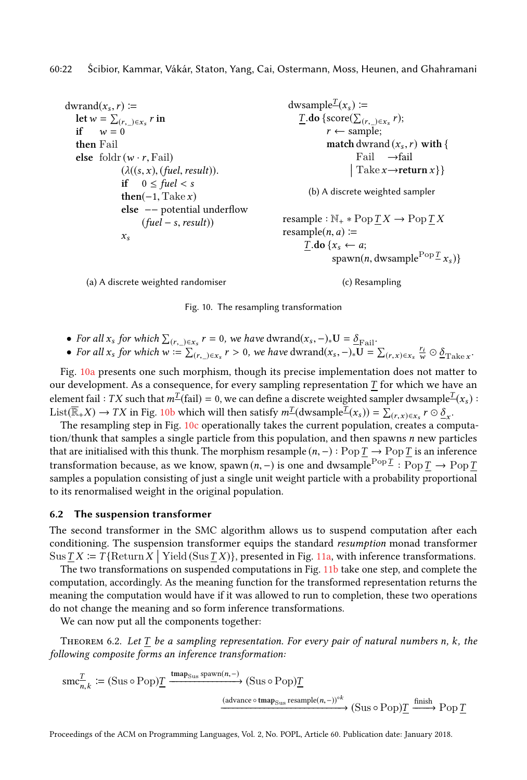```
dwrand(x_s, r) \coloneqqlet w = \sum_{(r, z) \in x_s} r in
  if w = 0then Fail
  else foldr(w \cdot r, \text{Fall})(\lambda((s, x), (fuel, result)).if 0 \leq fuel < sthen(-1, Take x)
               else -- potential underflow
                     (fuel - s, result))
               x_{s}
```
dwsample $\frac{T(x_s)}{T}$  =  $\underline{T}.\overline{\textbf{do}} \left\{ \text{score}(\sum_{(r,\_)\in x_s} r); \right. \\ \left. \begin{array}{c} \text{r} \leftarrow \text{sample:} \end{array} \right.$  $r \leftarrow$  sample; match dwrand  $(x_s, r)$  with {<br>Fail  $\rightarrow$ fail Fail  $\rightarrow$ fail  $\vert$  Take  $x \rightarrow$ return  $x\}$ (b) A discrete weighted sampler resample :  $\mathbb{N}_+ * \operatorname{Pop} TX \to \operatorname{Pop} TX$ resample $(n, a) \coloneqq$  $T \cdot \textbf{do} \{x_s \leftarrow a;$ spawn(*n*, dwsample<sup>Pop T</sup> $x_s$ )}

(a) A discrete weighted randomiser

(c) Resampling

Fig. 10. The resampling transformation

- For all  $x_s$  for which  $\sum_{(r_1)\in x_s} r = 0$ , we have dwrand $(x_s, -)_*U = \underline{\delta}_{\text{fail}}$ .
- For all  $x_s$  for which  $w := \sum_{(r,\_)\in x_s}^{\infty} r > 0$ , we have dwrand $(x_s, -)$ <sup>t  $\overline{U} = \sum_{(r,x)\in x_s} \frac{r_i}{w} \odot \underline{\delta}_{\text{Take } x}$ .</sup>

Fig. [10a](#page-21-0) presents one such morphism, though its precise implementation does not matter to our development. As a consequence, for every sampling representation  $T$  for which we have an element fail : TX such that  $m^T$ (fail) = 0, we can define a discrete weighted sampler dwsample<sup>T</sup>(x<sub>s</sub>) :<br>Litt<sup>( $\mathbb{R}$ </sup> X) = TV in Fin 10b mbigh mill than settle  $m^T$ (dressmal  $T(x)$ )). List( $\overline{\mathbb{R}}_+ X$ )  $\to TX$  in Fig. [10b](#page-21-0) which will then satisfy  $m^{\mathcal{I}}$  (dwsample $\mathcal{I}(x_s)$ ) =  $\sum_{(r,s) \in x_s} r \odot \underline{\delta}_x$ .<br>The recomplier etcn in Fig. 10e operationally takes the querent population grades a some

 $\text{St}(\mathbb{K}_+ X) \to I X$  in Fig. 10b which will then satisfy m=(dwsample= $(x_s)$ ) =  $\sum_{(r,x) \in x_s} r \cup \underline{\partial}_x$ .<br>The resampling step in Fig. [10c](#page-21-0) operationally takes the current population, creates a computation/thunk that samples a single particle from this population, and then spawns  $n$  new particles that are initialised with this thunk. The morphism resample  $(n, -)$  : Pop  $\underline{T}$  → Pop  $\underline{T}$  is an inference transformation because, as we know, spawn  $(n, -)$  is one and dwsample<sup>Pop</sup><sup>T</sup> : Pop<sub>I</sub>  $\rightarrow$  Pop<sub>I</sub>  $\rightarrow$  Pop<sub>I</sub> samples a population consisting of just a single unit weight particle with a probability proportional to its renormalised weight in the original population.

#### <span id="page-21-1"></span>6.2 The suspension transformer

The second transformer in the SMC algorithm allows us to suspend computation after each conditioning. The suspension transformer equips the standard resumption monad transformer  $\text{Sus } \underline{T}X \coloneqq \overline{T} \{\text{Return } X \mid \text{Yield} (\text{Sus } \underline{T}X)\},$  presented in Fig. [11a,](#page-22-1) with inference transformations.

The two transformations on suspended computations in Fig. [11b](#page-22-1) take one step, and complete the computation, accordingly. As the meaning function for the transformed representation returns the meaning the computation would have if it was allowed to run to completion, these two operations do not change the meaning and so form inference transformations.

We can now put all the components together:

THEOREM 6.2. Let T be a sampling representation. For every pair of natural numbers  $n, k$ , the following composite forms an inference transformation:

$$
\operatorname{smc}_{n,k}^{\mathcal{I}} \coloneqq (\operatorname{Sus} \circ \operatorname{Pop})\mathcal{I} \xrightarrow{\operatorname{tmap}_{\operatorname{Sus}} \operatorname{spawn}(n,-)} (\operatorname{Sus} \circ \operatorname{Pop})\mathcal{I}
$$

$$
\xrightarrow{(\text{advance } \circ \operatorname{tmap}_{\operatorname{Sus}} \operatorname{resample}(n,-))^{\circ k}} (\operatorname{Sus} \circ \operatorname{Pop})\mathcal{I} \xrightarrow{\operatorname{fminh}} \operatorname{Pop} \mathcal{I}
$$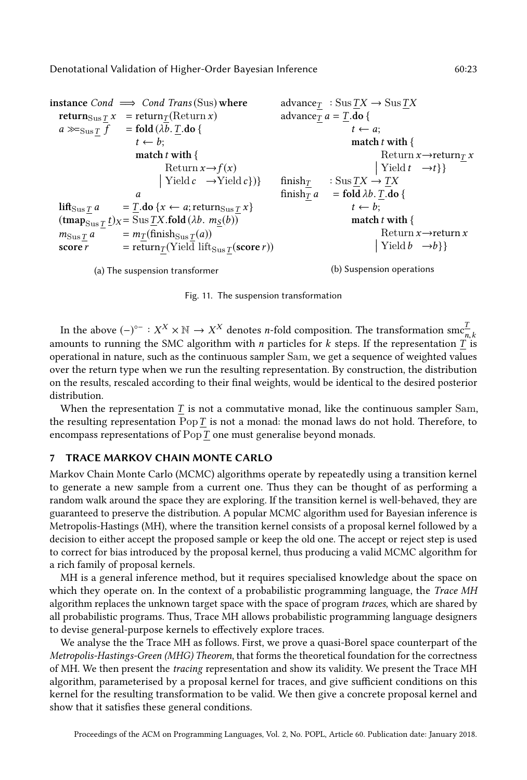<span id="page-22-1"></span>instance  $Cond \implies Cond$  Trans (Sus) where return $_{\text{Sus }T} x$  = return $_T(\text{Return }x)$  $a \gg_{\text{Sus } T} f = \text{fold}(\lambda b. \underline{T} \cdot \text{do} \{\overline{T}\})$  $t \leftarrow b$ ; match  $t$  with  $\{$ Return  $x \rightarrow f(x)$  $\vert$  Yield  $c \rightarrow$ Yield  $c$ })} a  $\lim_{\text{Sus }T} a = \underline{T}$ .do  $\{x \leftarrow a;$  return $\lim_{\text{Sus }T} x\}$  $(\text{trap}_{\text{Sus}\underline{T}}\underline{t})_X = \text{Sus}\underline{T}X.\text{fold }(\lambda b.\ \underline{m}_{\underline{S}}(b))$  $m_{\text{Sus}\,\underline{T}}\,a = m_{\underline{T}}(\text{finish}_{\text{Sus}\,\underline{T}}(a))$ <br>
score  $r = \text{return }_{\underline{T}}(\text{Yield lift})$  $=$  return $_T$ (Yield lift<sub>SusT</sub>(score r)) advance  $\underline{r}$  : Sus  $\underline{r}X \rightarrow$  Sus  $\underline{r}X$ advance  $\overline{T}$   $a = \overline{T} \cdot \overline{d} \cdot b$  $t \leftarrow a$ ; match  $t$  with  $\{$ Return  $x \rightarrow$ return $_T x$  $\left\{ \begin{array}{ll} \text{Yield } t & \rightarrow t \end{array} \right\}$ finish $\tau$  $:$  Sus  $TX \rightarrow TX$ finish $\overline{T} a$  = fold  $\lambda b$ .  $\overline{T}$ .do {  $t \leftarrow b$ ; match  $t$  with  $\{$ Return  $x \rightarrow$ return x  $\left\{\right.$  Yield  $b \rightarrow b$ }

(a) The suspension transformer

(b) Suspension operations

Fig. 11. The suspension transformation

In the above  $(-)^{\circ-} : X^X \times \mathbb{N} \to X^X$  denotes *n*-fold composition. The transformation smc $\frac{7}{n}$ amounts to running the SMC algorithm with n particles for k steps. If the representation  $\underline{T}$  is operational in nature, such as the continuous sampler Sam, we get a sequence of weighted values over the return type when we run the resulting representation. By construction, the distribution on the results, rescaled according to their final weights, would be identical to the desired posterior distribution.

When the representation  $T$  is not a commutative monad, like the continuous sampler Sam, the resulting representation  $PopT$  is not a monad: the monad laws do not hold. Therefore, to encompass representations of  $PopT$  one must generalise beyond monads.

## <span id="page-22-0"></span>7 TRACE MARKOV CHAIN MONTE CARLO

Markov Chain Monte Carlo (MCMC) algorithms operate by repeatedly using a transition kernel to generate a new sample from a current one. Thus they can be thought of as performing a random walk around the space they are exploring. If the transition kernel is well-behaved, they are guaranteed to preserve the distribution. A popular MCMC algorithm used for Bayesian inference is Metropolis-Hastings (MH), where the transition kernel consists of a proposal kernel followed by a decision to either accept the proposed sample or keep the old one. The accept or reject step is used to correct for bias introduced by the proposal kernel, thus producing a valid MCMC algorithm for a rich family of proposal kernels.

MH is a general inference method, but it requires specialised knowledge about the space on which they operate on. In the context of a probabilistic programming language, the *Trace MH* algorithm replaces the unknown target space with the space of program traces, which are shared by all probabilistic programs. Thus, Trace MH allows probabilistic programming language designers to devise general-purpose kernels to effectively explore traces.

We analyse the the Trace MH as follows. First, we prove a quasi-Borel space counterpart of the Metropolis-Hastings-Green (MHG) Theorem, that forms the theoretical foundation for the correctness of MH. We then present the tracing representation and show its validity. We present the Trace MH algorithm, parameterised by a proposal kernel for traces, and give sufficient conditions on this kernel for the resulting transformation to be valid. We then give a concrete proposal kernel and show that it satisfies these general conditions.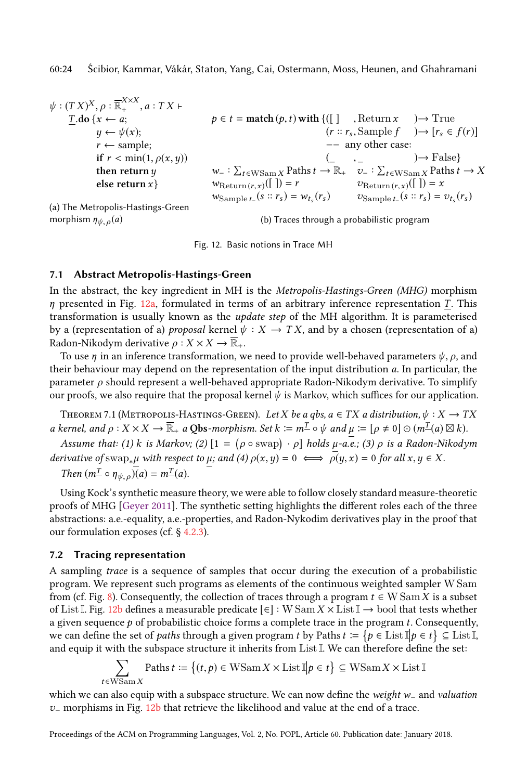<span id="page-23-0"></span>
$$
\psi : (TX)^X, \rho : \overline{\mathbb{R}}_+^{XXX}, a : TX \vdash
$$
\n
$$
\begin{array}{ll}\nT \cdot \text{do} \{x \leftarrow a; & p \in t = \text{match}(p, t) \text{ with } \{([\ ] \ ] \ , \text{Return } x \ \ ) \rightarrow \text{True} \} \\
y \leftarrow \psi(x); & (r :: r_s, \text{Sample } f \ ) \rightarrow [r_s \in f(r)] \\
r \leftarrow \text{sample}; & - \text{ any other case:} \\
\text{if } r < \min(1, \rho(x, y)) & (\_, \_, \_) \rightarrow \text{False} \} \\
\text{then return } y & w =: \sum_{t \in \text{WSam } X} \text{Paths } t \rightarrow \mathbb{R}_+ & v =: \sum_{t \in \text{WSam } X} \text{Paths } t \rightarrow X \\
\text{else return } x\} & w_{\text{Return}(r, x)}([\ ]) = r & v_{\text{Return}(r, x)}([\ ]) = x \\
(a) \text{The Metronolis-Hastings-Green} & w_{\text{Sample } t}(\text{s} :: r_s) = w_{t_s}(r_s) & v_{\text{Sample } t}(\text{s} :: r_s) = v_{t_s}(r_s)\n\end{array}
$$

(a) The Metropolis-Hastings-Green morphism  $\eta_{\psi,\rho}(a)$ 

(b) Traces through a probabilistic program

Fig. 12. Basic notions in Trace MH

## 7.1 Abstract Metropolis-Hastings-Green

In the abstract, the key ingredient in MH is the Metropolis-Hastings-Green (MHG) morphism  $\eta$  presented in Fig. [12a,](#page-23-0) formulated in terms of an arbitrary inference representation T. This transformation is usually known as the update step of the MH algorithm. It is parameterised by a (representation of a) *proposal* kernel  $\psi : X \to TX$ , and by a chosen (representation of a) Radon-Nikodym derivative  $\rho: X \times X \to \overline{\mathbb{R}}_+$ .

To use  $\eta$  in an inference transformation, we need to provide well-behaved parameters  $\psi$ ,  $\rho$ , and their behaviour may depend on the representation of the input distribution a. In particular, the parameter  $\rho$  should represent a well-behaved appropriate Radon-Nikodym derivative. To simplify our proofs, we also require that the proposal kernel  $\psi$  is Markov, which suffices for our application.

THEOREM 7.1 (METROPOLIS-HASTINGS-GREEN). Let X be a qbs,  $a \in TX$  a distribution,  $\psi : X \to TX$ a kernel, and  $\rho: X \times X \to \overline{\mathbb{R}}_+$  a **Qbs**-morphism. Set  $k \coloneqq m^{\mathcal{I}} \circ \psi$  and  $\mu \coloneqq [\rho \neq 0] \odot (m^{\mathcal{I}}(a) \boxtimes k)$ .

Assume that: (1) k is Markov; (2)  $[1 = (\rho \circ swap) \cdot \rho]$  holds  $\mu$ -a.e.; (3)  $\rho$  is a Radon-Nikodym derivative of  $\sup_{x\in X}$  with respect to  $\mu$ ; and (4)  $\rho(x, y) = 0 \iff \overline{\rho}(y, x) = 0$  for all  $x, y \in X$ . Then  $(m^{\underline{T}} \circ \eta_{\psi, \rho})(a) = m^{\underline{T}}(a)$ .

Using Kock's synthetic measure theory, we were able to follow closely standard measure-theoretic proofs of MHG [\[Geyer](#page-27-16) [2011\]](#page-27-16). The synthetic setting highlights the different roles each of the three abstractions: a.e.-equality, a.e.-properties, and Radon-Nykodim derivatives play in the proof that our formulation exposes (cf. § [4.2.3\)](#page-15-1).

## 7.2 Tracing representation

A sampling trace is a sequence of samples that occur during the execution of a probabilistic program. We represent such programs as elements of the continuous weighted sampler W Sam from (cf. Fig. [8\)](#page-18-0). Consequently, the collection of traces through a program  $t \in W \operatorname{Sam} X$  is a subset of List I. Fig. [12b](#page-23-0) defines a measurable predicate  $[\epsilon] : W \text{Sam } X \times \text{List } I \rightarrow \text{bool}$  that tests whether a given sequence  $p$  of probabilistic choice forms a complete trace in the program  $t$ . Consequently, we can define the set of *paths* through a given program t by Paths  $t := \{ p \in \text{List } \mathbb{I} | p \in t \} \subseteq \text{List } \mathbb{I},$ and equip it with the subspace structure it inherits from List I. We can therefore define the set:

$$
\sum_{t \in \text{WSam } X} \text{Paths } t := \{(t, p) \in \text{WSam } X \times \text{List } \mathbb{I} | p \in t\} \subseteq \text{WSam } X \times \text{List } \mathbb{I}
$$

which we can also equip with a subspace structure. We can now define the weight w<sub>-</sub> and valuation v<sup>−</sup> morphisms in Fig. [12b](#page-23-0) that retrieve the likelihood and value at the end of a trace.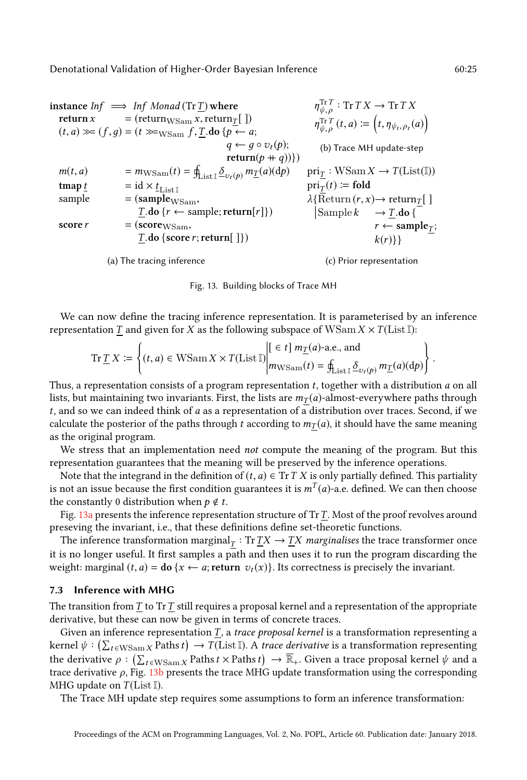<span id="page-24-0"></span>instance  $Inf \implies Inf Monad(TrT)$  where return  $x = (return_{\text{WSam}} x, return_T[$ ])  $(t, a) \gg (f, q) = (t \gg w_{\text{Sam}} f, T \cdot d\mathbf{o} \{p \leftarrow a;$  $q \leftarrow q \circ v_t(p);$  $return(p + q))$  $m(t, a)$  =  $m_{\text{WSam}}(t) = \oint_{\text{List}} \underline{\delta}_{v_t(p)} m_{\underline{T}}(a) \text{(dp)}$ <br>
=  $\text{id} \times t$  $\text{tmap } \underline{t} = \text{id} \times \underline{t}_{\text{List } \mathbb{I}}$  $\text{sample} \qquad \quad = (\text{sample}_{\text{WSam}},$  $T \cdot \text{do} \{r \leftarrow \text{sample}; \text{return}[r]\}$  $score r = (score_{WSam},$  $T$  .do {score r; return[ ]})  $\eta_{\psi,\,\rho}^{\text{Tr}\,T}$ : Tr  $TX \to \text{Tr } T X$  $\eta_{\psi,\rho}^{\text{Tr }T}(t,a) \coloneqq \left(t, \eta_{\psi_t,\rho_t}(a)\right)$ (b) Trace MH update-step  $\text{pri}_T: \text{WSam } X \to T(\text{List}(\mathbb{I}))$  $\overline{\text{pri}_{T}^{-}}(t) \coloneqq \text{fold}$  $\lambda\{\text{Return}(r, x) \rightarrow \text{return}\_{\text{I}}\}$  $\begin{array}{ll} \text{Sample } k & \rightarrow \underline{T}.\text{do} \ \text{for } k \in \text{sum} \end{array}$  $r \leftarrow$  sample<sub>7</sub>; <sup>-</sup>  $k(r)\}$ 

(a) The tracing inference

(c) Prior representation

#### Fig. 13. Building blocks of Trace MH

We can now define the tracing inference representation. It is parameterised by an inference representation T and given for X as the following subspace of  $WSam X \times T(\text{List } I)$ :

$$
\text{Tr}\,\underline{T}\,X\coloneqq\left\{(t,a)\in\text{WSam}\,X\times T(\text{List}\,\mathbb{I})\middle|\begin{aligned}&[\in t]\;m\underline{T}(a)\text{-a.e., and}\\&m_{\text{WSam}}(t)=\textstyle{\oint_{\text{List}\,\mathbb{I}}}\,\underline{\delta}_{v_t(p)}\,m\underline{T}(a)(\mathrm{d}p)\end{aligned}\right\}\,.
$$

Thus, a representation consists of a program representation  $t$ , together with a distribution  $a$  on all lists, but maintaining two invariants. First, the lists are  $m<sub>T</sub>(a)$ -almost-everywhere paths through t, and so we can indeed think of a as a representation of a distribution over traces. Second, if we calculate the posterior of the paths through t according to  $m<sub>T</sub>(a)$ , it should have the same meaning as the original program.

We stress that an implementation need not compute the meaning of the program. But this representation guarantees that the meaning will be preserved by the inference operations.

Note that the integrand in the definition of  $(t, a) \in \text{Tr } T X$  is only partially defined. This partiality is not an issue because the first condition guarantees it is  $m^T(a)$ -a.e. defined. We can then choose the constantly 0 distribution when  $p \notin t$ .

Fig.  $13a$  presents the inference representation structure of Tr T. Most of the proof revolves around preseving the invariant, i.e., that these definitions define set-theoretic functions.

The inference transformation marginal $_T:$  Tr $TX \to TX$  marginalises the trace transformer once it is no longer useful. It first samples a path and then uses it to run the program discarding the weight: marginal  $(t, a) =$  do  $\{x \leftarrow a\}$ ; return  $v_t(x)$ . Its correctness is precisely the invariant.

## 7.3 Inference with MHG

The transition from  $T$  to  $Tr T$  still requires a proposal kernel and a representation of the appropriate derivative, but these can now be given in terms of concrete traces.

Given an inference representation  $T$ , a trace proposal kernel is a transformation representing a kernel  $\psi : (\sum_{t \in \text{WSam } X} \hat{P} \text{aths } t) \to \overline{T(\text{List } \mathbb{I})}$ . A *trace derivative* is a transformation representing the derivative  $\rho: (\sum_{t \in \text{WSam } X} \text{Paths } t \times \text{Paths } t) \to \overline{\mathbb{R}}_+$ . Given a trace proposal kernel  $\psi$  and a trace derivative a Fig. 13h presents the trace MHG undate transformation using the corresponding trace derivative  $ρ$ , Fig. [13b](#page-24-0) presents the trace MHG update transformation using the corresponding MHG update on  $T(\text{List } \mathbb{I}).$ 

The Trace MH update step requires some assumptions to form an inference transformation: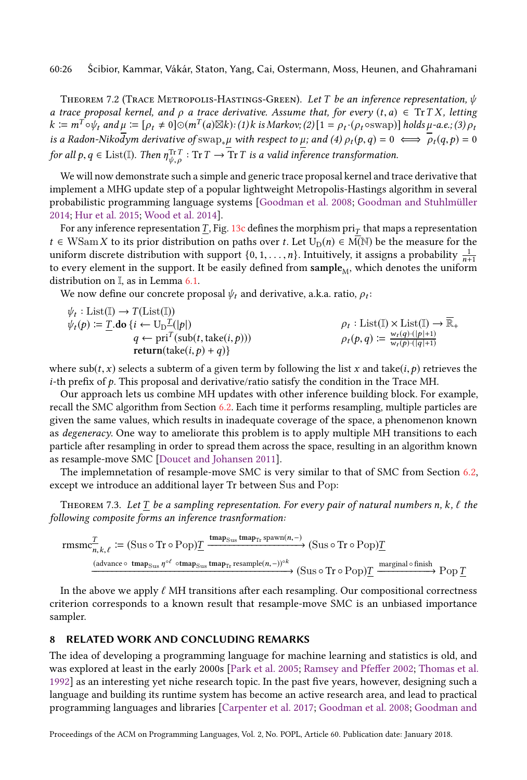THEOREM 7.2 (TRACE METROPOLIS-HASTINGS-GREEN). Let T be an inference representation,  $\psi$ a trace proposal kernel, and  $\rho$  a trace derivative. Assume that, for every  $(t, a) \in \text{Tr } T X$ , letting  $k := m^T \circ \psi_t$  and  $\mu := [\rho_t \neq 0] \circ (m^T(a) \boxtimes k)$ : (1) k is Markov; (2)  $[1 = \rho_t \cdot (\rho_t \circ s \text{wap})]$  holds  $\mu$ -a.e.; (3)  $\rho_t$ is a Radon-Niko $\overline{d}$ ym derivative of swap<sub>∗</sub> $\mu$  with respect to  $\mu$ ; and (4)  $\rho_t(p,q) = 0 \iff \overline{\rho}_t(q,p) = 0$ for all p,  $q \in$  List(I). Then  $\eta_{\psi,\rho}^{\text{Tr }T}$  :  $\text{Tr }T \rightarrow \text{Tr }T$  is a valid inference transformation.

We will now demonstrate such a simple and generic trace proposal kernel and trace derivative that implement a MHG update step of a popular lightweight Metropolis-Hastings algorithm in several probabilistic programming language systems [\[Goodman et al.](#page-27-0) [2008;](#page-27-0) [Goodman and Stuhlmüller](#page-27-17) [2014;](#page-27-17) [Hur et al.](#page-27-2) [2015;](#page-27-2) [Wood et al.](#page-28-0) [2014\]](#page-28-0).

For any inference representation <u>T,</u> Fig. [13c](#page-24-0) defines the morphism pri $_{T}$  that maps a representation *t* ∈ WSam *X* to its prior distribution on paths over *t*. Let  $U_D(n) \in \overline{M(N)}$  be the measure for the uniform discrete distribution with support  $\{0, 1, \ldots, n\}$ . Intuitively, it assigns a probability  $\frac{1}{n+1}$ <br>to every element in the support. It be easily defined from sample, which denotes the uniform to every element in the support. It be easily defined from  $sample_M$ , which denotes the uniform distribution on I, as in Lemma [6.1.](#page-20-2)

We now define our concrete proposal  $\psi_t$  and derivative, a.k.a. ratio,  $\rho_t$ :

 $\overline{\phantom{a}}$ 

$$
\psi_t: \text{List}(\mathbb{I}) \to T(\text{List}(\mathbb{I}))
$$
\n
$$
\psi_t(p) := \underline{T}.\text{do } \{i \leftarrow \text{Up}^T(|p|)
$$
\n
$$
q \leftarrow \text{pri}^T(\text{sub}(t, \text{take}(i, p)))
$$
\n
$$
\rho_t: \text{List}(\mathbb{I}) \times \text{List}(\mathbb{I}) \to \overline{\mathbb{R}}_+
$$
\n
$$
\rho_t(p, q) := \frac{w_t(q) \cdot (|p|+1)}{w_t(p) \cdot (|q|+1)}
$$
\nreturn (take(i, p) + q)

where sub $(t, x)$  selects a subterm of a given term by following the list x and take(*i*, *p*) retrieves the  $i$ -th prefix of  $p$ . This proposal and derivative/ratio satisfy the condition in the Trace MH.

Our approach lets us combine MH updates with other inference building block. For example, recall the SMC algorithm from Section [6.2.](#page-21-1) Each time it performs resampling, multiple particles are given the same values, which results in inadequate coverage of the space, a phenomenon known as degeneracy. One way to ameliorate this problem is to apply multiple MH transitions to each particle after resampling in order to spread them across the space, resulting in an algorithm known as resample-move SMC [\[Doucet and Johansen](#page-26-1) [2011\]](#page-26-1).

The implemnetation of resample-move SMC is very similar to that of SMC from Section [6.2,](#page-21-1) except we introduce an additional layer Tr between Sus and Pop:

THEOREM 7.3. Let  $T$  be a sampling representation. For every pair of natural numbers n, k,  $\ell$  the following composite forms an inference trasnformation:

$$
\mathsf{rmsmc}_{n,k,\ell}^{\mathcal{I}} \coloneqq (\mathsf{Sus} \circ \mathsf{Tr} \circ \mathsf{Pop})\underline{\underline{T}} \xrightarrow{\mathsf{trap}_\mathsf{Sus} \mathsf{trap}_\mathsf{Tr} \mathsf{span}(n,-)} (\mathsf{Sus} \circ \mathsf{Tr} \circ \mathsf{Pop})\underline{\underline{T}} \xrightarrow{(\mathsf{advance} \circ \mathsf{tmp}_\mathsf{Sus} \eta^{\circ \ell} \circ \mathsf{tmp}_\mathsf{Sus} \mathsf{map}_\mathsf{Tr} \mathsf{resample}(n,-))^{\circ k}} (\mathsf{Sus} \circ \mathsf{Tr} \circ \mathsf{Pop})\underline{\underline{T}} \xrightarrow{\mathsf{marginal} \circ \mathsf{finish}} \mathsf{Pop} \underline{\underline{T}} \xrightarrow{(\mathsf{map} \circ \mathsf{Top})\underline{T}} \mathsf{map} \xrightarrow{\mathsf{marginal} \circ \mathsf{finish}} \mathsf{Pop} \underline{\underline{T}} \xrightarrow{\mathsf{marginal} \circ \mathsf{finish}} \mathsf{Top} \underline{\underline{T}} \xrightarrow{\mathsf{marginal} \circ \mathsf{finish}} \mathsf{Top} \underline{\underline{T}} \xrightarrow{\mathsf{marginal} \circ \mathsf{finish}} \mathsf{Top} \underline{\underline{T}} \xrightarrow{\mathsf{marginal} \circ \mathsf{finish}} \mathsf{Top} \underline{\underline{T}} \xrightarrow{\mathsf{marginal} \circ \mathsf{finish}} \mathsf{Top} \underline{\underline{T}} \xrightarrow{\mathsf{marginal} \circ \mathsf{finish}} \mathsf{Top} \underline{\underline{T}} \xrightarrow{\mathsf{marginal} \circ \mathsf{finish}} \mathsf{Top} \underline{\underline{T}} \xrightarrow{\mathsf{marginal} \circ \mathsf{finish}} \mathsf{Top} \underline{\underline{T}} \xrightarrow{\mathsf{marginal} \circ \mathsf{finish}} \mathsf{Top} \underline{\underline{T}} \xrightarrow{\mathsf{marginal} \circ \mathsf{finish}} \mathsf{Top} \underline{\underline{T}} \xrightarrow{\mathsf{marginal} \circ \mathsf{finish}} \mathsf{Top} \underline{\underline{T}} \xrightarrow{\mathsf{marginal} \circ \mathsf{finish}
$$

In the above we apply  $\ell$  MH transitions after each resampling. Our compositional correctness criterion corresponds to a known result that resample-move SMC is an unbiased importance sampler.

# <span id="page-25-0"></span>8 RELATED WORK AND CONCLUDING REMARKS

The idea of developing a programming language for machine learning and statistics is old, and was explored at least in the early 2000s [\[Park et al.](#page-27-18) [2005;](#page-27-18) Ramsey and Pfeffer [2002;](#page-28-3) [Thomas et al.](#page-28-4) [1992\]](#page-28-4) as an interesting yet niche research topic. In the past five years, however, designing such a language and building its runtime system has become an active research area, and lead to practical programming languages and libraries [\[Carpenter et al.](#page-26-4) [2017;](#page-26-4) [Goodman et al.](#page-27-0) [2008;](#page-27-0) [Goodman and](#page-27-17)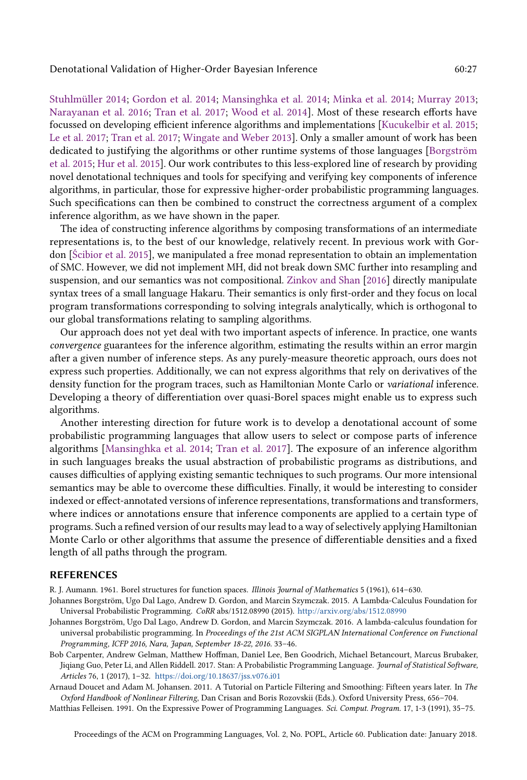[Stuhlmüller](#page-27-17) [2014;](#page-27-17) [Gordon et al.](#page-27-19) [2014;](#page-27-19) [Mansinghka et al.](#page-27-1) [2014;](#page-27-1) [Minka et al.](#page-27-20) [2014;](#page-27-20) [Murray](#page-27-21) [2013;](#page-27-21) [Narayanan et al.](#page-27-22) [2016;](#page-27-22) [Tran et al.](#page-28-5) [2017;](#page-28-5) [Wood et al.](#page-28-0) [2014\]](#page-28-0). Most of these research efforts have focussed on developing efficient inference algorithms and implementations [\[Kucukelbir et al.](#page-27-23) [2015;](#page-27-23) [Le et al.](#page-27-24) [2017;](#page-27-24) [Tran et al.](#page-28-5) [2017;](#page-28-5) [Wingate and Weber](#page-28-6) [2013\]](#page-28-6). Only a smaller amount of work has been dedicated to justifying the algorithms or other runtime systems of those languages [\[Borgström](#page-26-5) [et al.](#page-26-5) [2015;](#page-26-5) [Hur et al.](#page-27-2) [2015\]](#page-27-2). Our work contributes to this less-explored line of research by providing novel denotational techniques and tools for specifying and verifying key components of inference algorithms, in particular, those for expressive higher-order probabilistic programming languages. Such specifications can then be combined to construct the correctness argument of a complex inference algorithm, as we have shown in the paper.

The idea of constructing inference algorithms by composing transformations of an intermediate representations is, to the best of our knowledge, relatively recent. In previous work with Gordon [\[Ścibior et al.](#page-28-7) [2015\]](#page-28-7), we manipulated a free monad representation to obtain an implementation of SMC. However, we did not implement MH, did not break down SMC further into resampling and suspension, and our semantics was not compositional. [Zinkov and Shan](#page-28-8) [\[2016\]](#page-28-8) directly manipulate syntax trees of a small language Hakaru. Their semantics is only first-order and they focus on local program transformations corresponding to solving integrals analytically, which is orthogonal to our global transformations relating to sampling algorithms.

Our approach does not yet deal with two important aspects of inference. In practice, one wants convergence guarantees for the inference algorithm, estimating the results within an error margin after a given number of inference steps. As any purely-measure theoretic approach, ours does not express such properties. Additionally, we can not express algorithms that rely on derivatives of the density function for the program traces, such as Hamiltonian Monte Carlo or variational inference. Developing a theory of differentiation over quasi-Borel spaces might enable us to express such algorithms.

Another interesting direction for future work is to develop a denotational account of some probabilistic programming languages that allow users to select or compose parts of inference algorithms [\[Mansinghka et al.](#page-27-1) [2014;](#page-27-1) [Tran et al.](#page-28-5) [2017\]](#page-28-5). The exposure of an inference algorithm in such languages breaks the usual abstraction of probabilistic programs as distributions, and causes difficulties of applying existing semantic techniques to such programs. Our more intensional semantics may be able to overcome these difficulties. Finally, it would be interesting to consider indexed or effect-annotated versions of inference representations, transformations and transformers, where indices or annotations ensure that inference components are applied to a certain type of programs. Such a refined version of our results may lead to a way of selectively applying Hamiltonian Monte Carlo or other algorithms that assume the presence of differentiable densities and a fixed length of all paths through the program.

# REFERENCES

<span id="page-26-3"></span>R. J. Aumann. 1961. Borel structures for function spaces. Illinois Journal of Mathematics 5 (1961), 614–630.

- <span id="page-26-5"></span>Johannes Borgström, Ugo Dal Lago, Andrew D. Gordon, and Marcin Szymczak. 2015. A Lambda-Calculus Foundation for Universal Probabilistic Programming. CoRR abs/1512.08990 (2015). <http://arxiv.org/abs/1512.08990>
- <span id="page-26-0"></span>Johannes Borgström, Ugo Dal Lago, Andrew D. Gordon, and Marcin Szymczak. 2016. A lambda-calculus foundation for universal probabilistic programming. In Proceedings of the 21st ACM SIGPLAN International Conference on Functional Programming, ICFP 2016, Nara, Japan, September 18-22, 2016. 33–46.
- <span id="page-26-4"></span>Bob Carpenter, Andrew Gelman, Matthew Hoffman, Daniel Lee, Ben Goodrich, Michael Betancourt, Marcus Brubaker, Jiqiang Guo, Peter Li, and Allen Riddell. 2017. Stan: A Probabilistic Programming Language. Journal of Statistical Software, Articles 76, 1 (2017), 1–32. <https://doi.org/10.18637/jss.v076.i01>
- <span id="page-26-1"></span>Arnaud Doucet and Adam M. Johansen. 2011. A Tutorial on Particle Filtering and Smoothing: Fifteen years later. In The Oxford Handbook of Nonlinear Filtering, Dan Crisan and Boris Rozovskii (Eds.). Oxford University Press, 656–704.

<span id="page-26-2"></span>Matthias Felleisen. 1991. On the Expressive Power of Programming Languages. Sci. Comput. Program. 17, 1-3 (1991), 35–75.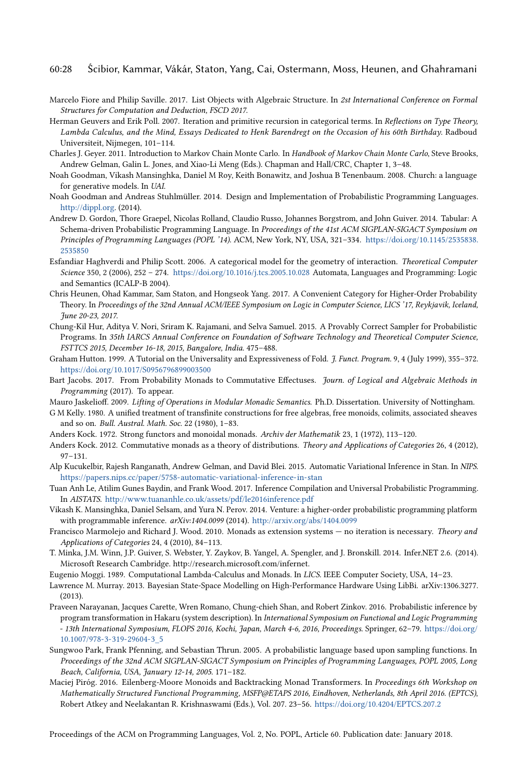#### 60:28 Ścibior, Kammar, Vákár, Staton, Yang, Cai, Ostermann, Moss, Heunen, and Ghahramani

- <span id="page-27-14"></span>Marcelo Fiore and Philip Saville. 2017. List Objects with Algebraic Structure. In 2st International Conference on Formal Structures for Computation and Deduction, FSCD 2017.
- <span id="page-27-5"></span>Herman Geuvers and Erik Poll. 2007. Iteration and primitive recursion in categorical terms. In Reflections on Type Theory, Lambda Calculus, and the Mind, Essays Dedicated to Henk Barendregt on the Occasion of his 60th Birthday. Radboud Universiteit, Nijmegen, 101–114.
- <span id="page-27-16"></span>Charles J. Geyer. 2011. Introduction to Markov Chain Monte Carlo. In Handbook of Markov Chain Monte Carlo, Steve Brooks, Andrew Gelman, Galin L. Jones, and Xiao-Li Meng (Eds.). Chapman and Hall/CRC, Chapter 1, 3–48.
- <span id="page-27-0"></span>Noah Goodman, Vikash Mansinghka, Daniel M Roy, Keith Bonawitz, and Joshua B Tenenbaum. 2008. Church: a language for generative models. In UAI.
- <span id="page-27-17"></span>Noah Goodman and Andreas Stuhlmüller. 2014. Design and Implementation of Probabilistic Programming Languages. [http://dippl.org.](http://dippl.org) (2014).
- <span id="page-27-19"></span>Andrew D. Gordon, Thore Graepel, Nicolas Rolland, Claudio Russo, Johannes Borgstrom, and John Guiver. 2014. Tabular: A Schema-driven Probabilistic Programming Language. In Proceedings of the 41st ACM SIGPLAN-SIGACT Symposium on Principles of Programming Languages (POPL '14). ACM, New York, NY, USA, 321–334. [https://doi.org/10.1145/2535838.](https://doi.org/10.1145/2535838.2535850) [2535850](https://doi.org/10.1145/2535838.2535850)
- <span id="page-27-11"></span>Esfandiar Haghverdi and Philip Scott. 2006. A categorical model for the geometry of interaction. Theoretical Computer Science 350, 2 (2006), 252 – 274. <https://doi.org/10.1016/j.tcs.2005.10.028> Automata, Languages and Programming: Logic and Semantics (ICALP-B 2004).
- <span id="page-27-3"></span>Chris Heunen, Ohad Kammar, Sam Staton, and Hongseok Yang. 2017. A Convenient Category for Higher-Order Probability Theory. In Proceedings of the 32nd Annual ACM/IEEE Symposium on Logic in Computer Science, LICS '17, Reykjavik, Iceland, June 20-23, 2017.
- <span id="page-27-2"></span>Chung-Kil Hur, Aditya V. Nori, Sriram K. Rajamani, and Selva Samuel. 2015. A Provably Correct Sampler for Probabilistic Programs. In 35th IARCS Annual Conference on Foundation of Software Technology and Theoretical Computer Science, FSTTCS 2015, December 16-18, 2015, Bangalore, India. 475–488.
- <span id="page-27-6"></span>Graham Hutton. 1999. A Tutorial on the Universality and Expressiveness of Fold. J. Funct. Program. 9, 4 (July 1999), 355-372. <https://doi.org/10.1017/S0956796899003500>
- <span id="page-27-12"></span>Bart Jacobs. 2017. From Probability Monads to Commutative Effectuses. Journ. of Logical and Algebraic Methods in Programming (2017). To appear.
- <span id="page-27-13"></span>Mauro Jaskelioff. 2009. Lifting of Operations in Modular Monadic Semantics. Ph.D. Dissertation. University of Nottingham.
- <span id="page-27-7"></span>G M Kelly. 1980. A unified treatment of transfinite constructions for free algebras, free monoids, colimits, associated sheaves and so on. Bull. Austral. Math. Soc. 22 (1980), 1–83.
- <span id="page-27-9"></span>Anders Kock. 1972. Strong functors and monoidal monads. Archiv der Mathematik 23, 1 (1972), 113–120.
- <span id="page-27-8"></span>Anders Kock. 2012. Commutative monads as a theory of distributions. Theory and Applications of Categories 26, 4 (2012), 97–131.
- <span id="page-27-23"></span>Alp Kucukelbir, Rajesh Ranganath, Andrew Gelman, and David Blei. 2015. Automatic Variational Inference in Stan. In NIPS. <https://papers.nips.cc/paper/5758-automatic-variational-inference-in-stan>
- <span id="page-27-24"></span>Tuan Anh Le, Atilim Gunes Baydin, and Frank Wood. 2017. Inference Compilation and Universal Probabilistic Programming. In AISTATS. <http://www.tuananhle.co.uk/assets/pdf/le2016inference.pdf>
- <span id="page-27-1"></span>Vikash K. Mansinghka, Daniel Selsam, and Yura N. Perov. 2014. Venture: a higher-order probabilistic programming platform with programmable inference. arXiv:1404.0099 (2014). <http://arxiv.org/abs/1404.0099>
- <span id="page-27-10"></span>Francisco Marmolejo and Richard J. Wood. 2010. Monads as extension systems — no iteration is necessary. Theory and Applications of Categories 24, 4 (2010), 84–113.
- <span id="page-27-20"></span>T. Minka, J.M. Winn, J.P. Guiver, S. Webster, Y. Zaykov, B. Yangel, A. Spengler, and J. Bronskill. 2014. Infer.NET 2.6. (2014). Microsoft Research Cambridge. http://research.microsoft.com/infernet.
- <span id="page-27-4"></span>Eugenio Moggi. 1989. Computational Lambda-Calculus and Monads. In LICS. IEEE Computer Society, USA, 14–23.
- <span id="page-27-21"></span>Lawrence M. Murray. 2013. Bayesian State-Space Modelling on High-Performance Hardware Using LibBi. arXiv:1306.3277. (2013).
- <span id="page-27-22"></span>Praveen Narayanan, Jacques Carette, Wren Romano, Chung-chieh Shan, and Robert Zinkov. 2016. Probabilistic inference by program transformation in Hakaru (system description). In International Symposium on Functional and Logic Programming - 13th International Symposium, FLOPS 2016, Kochi, Japan, March 4-6, 2016, Proceedings. Springer, 62–79. [https://doi.org/](https://doi.org/10.1007/978-3-319-29604-3_5) [10.1007/978-3-319-29604-3\\_5](https://doi.org/10.1007/978-3-319-29604-3_5)
- <span id="page-27-18"></span>Sungwoo Park, Frank Pfenning, and Sebastian Thrun. 2005. A probabilistic language based upon sampling functions. In Proceedings of the 32nd ACM SIGPLAN-SIGACT Symposium on Principles of Programming Languages, POPL 2005, Long Beach, California, USA, January 12-14, 2005. 171–182.
- <span id="page-27-15"></span>Maciej Piróg. 2016. Eilenberg-Moore Monoids and Backtracking Monad Transformers. In Proceedings 6th Workshop on Mathematically Structured Functional Programming, MSFP@ETAPS 2016, Eindhoven, Netherlands, 8th April 2016. (EPTCS), Robert Atkey and Neelakantan R. Krishnaswami (Eds.), Vol. 207. 23–56. <https://doi.org/10.4204/EPTCS.207.2>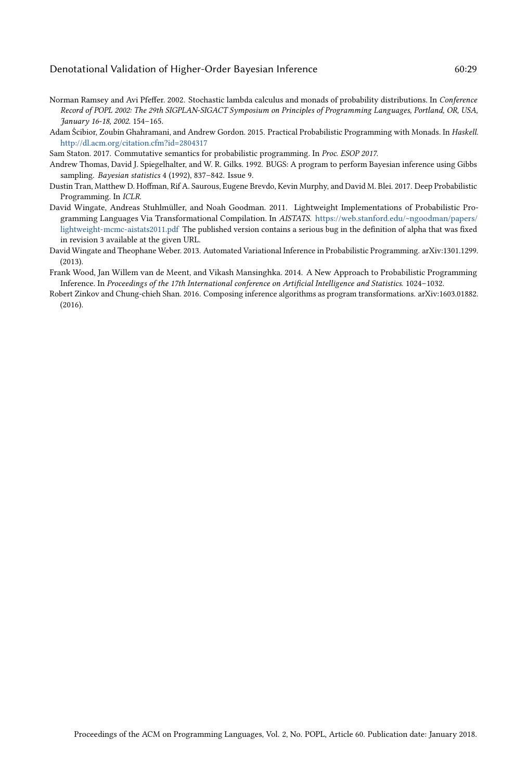- <span id="page-28-3"></span>Norman Ramsey and Avi Pfeffer. 2002. Stochastic lambda calculus and monads of probability distributions. In Conference Record of POPL 2002: The 29th SIGPLAN-SIGACT Symposium on Principles of Programming Languages, Portland, OR, USA, January 16-18, 2002. 154–165.
- <span id="page-28-7"></span>Adam Ścibior, Zoubin Ghahramani, and Andrew Gordon. 2015. Practical Probabilistic Programming with Monads. In Haskell. <http://dl.acm.org/citation.cfm?id=2804317>
- <span id="page-28-2"></span>Sam Staton. 2017. Commutative semantics for probabilistic programming. In Proc. ESOP 2017.
- <span id="page-28-4"></span>Andrew Thomas, David J. Spiegelhalter, and W. R. Gilks. 1992. BUGS: A program to perform Bayesian inference using Gibbs sampling. Bayesian statistics 4 (1992), 837–842. Issue 9.
- <span id="page-28-5"></span>Dustin Tran, Matthew D. Hoffman, Rif A. Saurous, Eugene Brevdo, Kevin Murphy, and David M. Blei. 2017. Deep Probabilistic Programming. In ICLR.
- <span id="page-28-1"></span>David Wingate, Andreas Stuhlmüller, and Noah Goodman. 2011. Lightweight Implementations of Probabilistic Programming Languages Via Transformational Compilation. In AISTATS. [https://web.stanford.edu/~ngoodman/papers/](https://web.stanford.edu/~ngoodman/papers/lightweight-mcmc-aistats2011.pdf) [lightweight-mcmc-aistats2011.pdf](https://web.stanford.edu/~ngoodman/papers/lightweight-mcmc-aistats2011.pdf) The published version contains a serious bug in the definition of alpha that was fixed in revision 3 available at the given URL.
- <span id="page-28-6"></span>David Wingate and Theophane Weber. 2013. Automated Variational Inference in Probabilistic Programming. arXiv:1301.1299. (2013).
- <span id="page-28-0"></span>Frank Wood, Jan Willem van de Meent, and Vikash Mansinghka. 2014. A New Approach to Probabilistic Programming Inference. In Proceedings of the 17th International conference on Artificial Intelligence and Statistics. 1024-1032.
- <span id="page-28-8"></span>Robert Zinkov and Chung-chieh Shan. 2016. Composing inference algorithms as program transformations. arXiv:1603.01882. (2016).